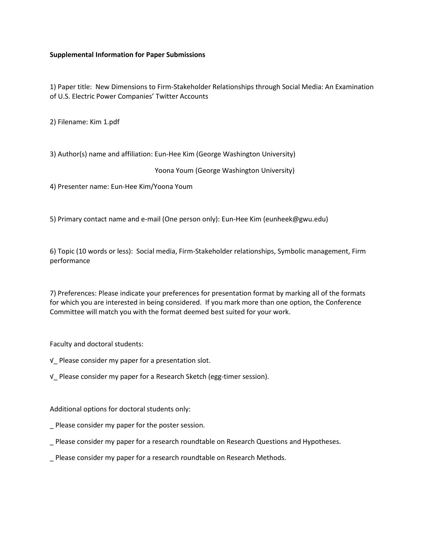## **Supplemental Information for Paper Submissions**

1) Paper title: New Dimensions to Firm-Stakeholder Relationships through Social Media: An Examination of U.S. Electric Power Companies' Twitter Accounts

2) Filename: Kim 1.pdf

3) Author(s) name and affiliation: Eun-Hee Kim (George Washington University)

Yoona Youm (George Washington University)

4) Presenter name: Eun-Hee Kim/Yoona Youm

5) Primary contact name and e-mail (One person only): Eun-Hee Kim (eunheek@gwu.edu)

6) Topic (10 words or less): Social media, Firm-Stakeholder relationships, Symbolic management, Firm performance

7) Preferences: Please indicate your preferences for presentation format by marking all of the formats for which you are interested in being considered. If you mark more than one option, the Conference Committee will match you with the format deemed best suited for your work.

Faculty and doctoral students:

- √\_ Please consider my paper for a presentation slot.
- √\_ Please consider my paper for a Research Sketch (egg-timer session).

Additional options for doctoral students only:

- Please consider my paper for the poster session.
- \_ Please consider my paper for a research roundtable on Research Questions and Hypotheses.
- \_ Please consider my paper for a research roundtable on Research Methods.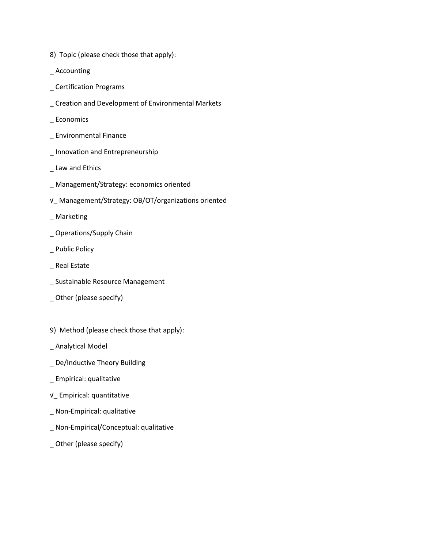- 8) Topic (please check those that apply):
- \_ Accounting
- \_ Certification Programs
- \_ Creation and Development of Environmental Markets
- \_ Economics
- \_ Environmental Finance
- \_ Innovation and Entrepreneurship
- \_ Law and Ethics
- \_ Management/Strategy: economics oriented
- √\_ Management/Strategy: OB/OT/organizations oriented
- \_ Marketing
- \_ Operations/Supply Chain
- \_ Public Policy
- \_ Real Estate
- \_ Sustainable Resource Management
- \_ Other (please specify)
- 9) Method (please check those that apply):
- \_ Analytical Model
- \_ De/Inductive Theory Building
- \_ Empirical: qualitative
- √\_ Empirical: quantitative
- \_ Non-Empirical: qualitative
- \_ Non-Empirical/Conceptual: qualitative
- \_ Other (please specify)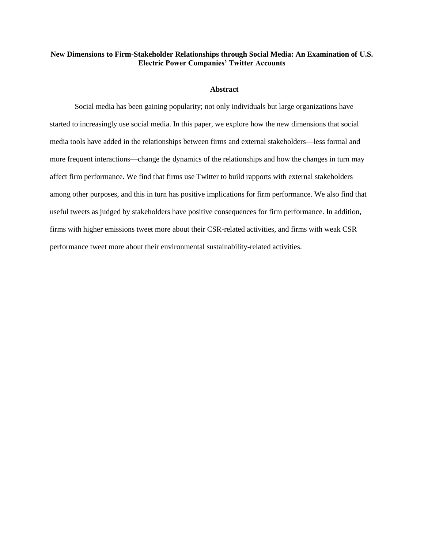## **New Dimensions to Firm-Stakeholder Relationships through Social Media: An Examination of U.S. Electric Power Companies' Twitter Accounts**

#### **Abstract**

Social media has been gaining popularity; not only individuals but large organizations have started to increasingly use social media. In this paper, we explore how the new dimensions that social media tools have added in the relationships between firms and external stakeholders—less formal and more frequent interactions—change the dynamics of the relationships and how the changes in turn may affect firm performance. We find that firms use Twitter to build rapports with external stakeholders among other purposes, and this in turn has positive implications for firm performance. We also find that useful tweets as judged by stakeholders have positive consequences for firm performance. In addition, firms with higher emissions tweet more about their CSR-related activities, and firms with weak CSR performance tweet more about their environmental sustainability-related activities.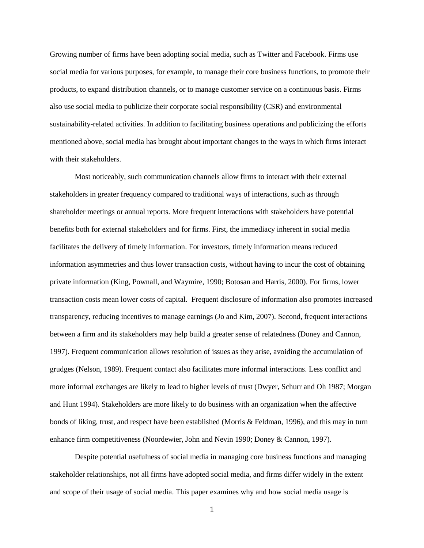Growing number of firms have been adopting social media, such as Twitter and Facebook. Firms use social media for various purposes, for example, to manage their core business functions, to promote their products, to expand distribution channels, or to manage customer service on a continuous basis. Firms also use social media to publicize their corporate social responsibility (CSR) and environmental sustainability-related activities. In addition to facilitating business operations and publicizing the efforts mentioned above, social media has brought about important changes to the ways in which firms interact with their stakeholders.

Most noticeably, such communication channels allow firms to interact with their external stakeholders in greater frequency compared to traditional ways of interactions, such as through shareholder meetings or annual reports. More frequent interactions with stakeholders have potential benefits both for external stakeholders and for firms. First, the immediacy inherent in social media facilitates the delivery of timely information. For investors, timely information means reduced information asymmetries and thus lower transaction costs, without having to incur the cost of obtaining private information (King, Pownall, and Waymire, 1990; Botosan and Harris, 2000). For firms, lower transaction costs mean lower costs of capital. Frequent disclosure of information also promotes increased transparency, reducing incentives to manage earnings (Jo and Kim, 2007). Second, frequent interactions between a firm and its stakeholders may help build a greater sense of relatedness (Doney and Cannon, 1997). Frequent communication allows resolution of issues as they arise, avoiding the accumulation of grudges (Nelson, 1989). Frequent contact also facilitates more informal interactions. Less conflict and more informal exchanges are likely to lead to higher levels of trust (Dwyer, Schurr and Oh 1987; Morgan and Hunt 1994). Stakeholders are more likely to do business with an organization when the affective bonds of liking, trust, and respect have been established (Morris & Feldman, 1996), and this may in turn enhance firm competitiveness (Noordewier, John and Nevin 1990; Doney & Cannon, 1997).

Despite potential usefulness of social media in managing core business functions and managing stakeholder relationships, not all firms have adopted social media, and firms differ widely in the extent and scope of their usage of social media. This paper examines why and how social media usage is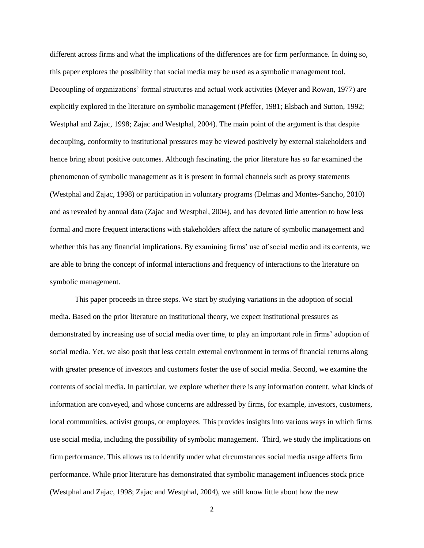different across firms and what the implications of the differences are for firm performance. In doing so, this paper explores the possibility that social media may be used as a symbolic management tool. Decoupling of organizations' formal structures and actual work activities (Meyer and Rowan, 1977) are explicitly explored in the literature on symbolic management (Pfeffer, 1981; Elsbach and Sutton, 1992; Westphal and Zajac, 1998; Zajac and Westphal, 2004). The main point of the argument is that despite decoupling, conformity to institutional pressures may be viewed positively by external stakeholders and hence bring about positive outcomes. Although fascinating, the prior literature has so far examined the phenomenon of symbolic management as it is present in formal channels such as proxy statements (Westphal and Zajac, 1998) or participation in voluntary programs (Delmas and Montes-Sancho, 2010) and as revealed by annual data (Zajac and Westphal, 2004), and has devoted little attention to how less formal and more frequent interactions with stakeholders affect the nature of symbolic management and whether this has any financial implications. By examining firms' use of social media and its contents, we are able to bring the concept of informal interactions and frequency of interactions to the literature on symbolic management.

This paper proceeds in three steps. We start by studying variations in the adoption of social media. Based on the prior literature on institutional theory, we expect institutional pressures as demonstrated by increasing use of social media over time, to play an important role in firms' adoption of social media. Yet, we also posit that less certain external environment in terms of financial returns along with greater presence of investors and customers foster the use of social media. Second, we examine the contents of social media. In particular, we explore whether there is any information content, what kinds of information are conveyed, and whose concerns are addressed by firms, for example, investors, customers, local communities, activist groups, or employees. This provides insights into various ways in which firms use social media, including the possibility of symbolic management. Third, we study the implications on firm performance. This allows us to identify under what circumstances social media usage affects firm performance. While prior literature has demonstrated that symbolic management influences stock price (Westphal and Zajac, 1998; Zajac and Westphal, 2004), we still know little about how the new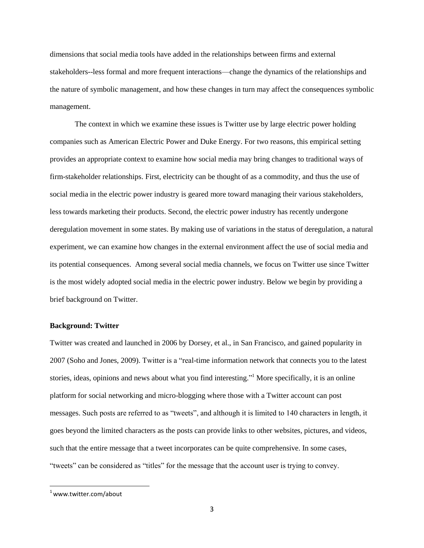dimensions that social media tools have added in the relationships between firms and external stakeholders--less formal and more frequent interactions—change the dynamics of the relationships and the nature of symbolic management, and how these changes in turn may affect the consequences symbolic management.

The context in which we examine these issues is Twitter use by large electric power holding companies such as American Electric Power and Duke Energy. For two reasons, this empirical setting provides an appropriate context to examine how social media may bring changes to traditional ways of firm-stakeholder relationships. First, electricity can be thought of as a commodity, and thus the use of social media in the electric power industry is geared more toward managing their various stakeholders, less towards marketing their products. Second, the electric power industry has recently undergone deregulation movement in some states. By making use of variations in the status of deregulation, a natural experiment, we can examine how changes in the external environment affect the use of social media and its potential consequences. Among several social media channels, we focus on Twitter use since Twitter is the most widely adopted social media in the electric power industry. Below we begin by providing a brief background on Twitter.

#### **Background: Twitter**

Twitter was created and launched in 2006 by Dorsey, et al., in San Francisco, and gained popularity in 2007 (Soho and Jones, 2009). Twitter is a "real-time information network that connects you to the latest stories, ideas, opinions and news about what you find interesting."<sup>1</sup> More specifically, it is an online platform for social networking and micro-blogging where those with a Twitter account can post messages. Such posts are referred to as "tweets", and although it is limited to 140 characters in length, it goes beyond the limited characters as the posts can provide links to other websites, pictures, and videos, such that the entire message that a tweet incorporates can be quite comprehensive. In some cases, "tweets" can be considered as "titles" for the message that the account user is trying to convey.

 $\overline{\phantom{a}}$ 

 $1$ [www.twitter.com/about](http://www.twitter.com/about)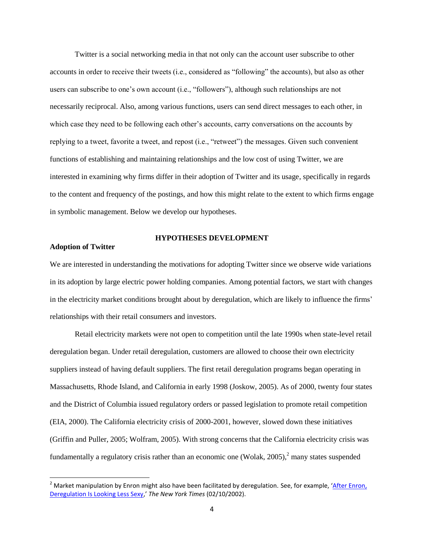Twitter is a social networking media in that not only can the account user subscribe to other accounts in order to receive their tweets (i.e., considered as "following" the accounts), but also as other users can subscribe to one's own account (i.e., "followers"), although such relationships are not necessarily reciprocal. Also, among various functions, users can send direct messages to each other, in which case they need to be following each other's accounts, carry conversations on the accounts by replying to a tweet, favorite a tweet, and repost (i.e., "retweet") the messages. Given such convenient functions of establishing and maintaining relationships and the low cost of using Twitter, we are interested in examining why firms differ in their adoption of Twitter and its usage, specifically in regards to the content and frequency of the postings, and how this might relate to the extent to which firms engage in symbolic management. Below we develop our hypotheses.

# **Adoption of Twitter**

l

## **HYPOTHESES DEVELOPMENT**

We are interested in understanding the motivations for adopting Twitter since we observe wide variations in its adoption by large electric power holding companies. Among potential factors, we start with changes in the electricity market conditions brought about by deregulation, which are likely to influence the firms' relationships with their retail consumers and investors.

Retail electricity markets were not open to competition until the late 1990s when state-level retail deregulation began. Under retail deregulation, customers are allowed to choose their own electricity suppliers instead of having default suppliers. The first retail deregulation programs began operating in Massachusetts, Rhode Island, and California in early 1998 (Joskow, 2005). As of 2000, twenty four states and the District of Columbia issued regulatory orders or passed legislation to promote retail competition (EIA, 2000). The California electricity crisis of 2000-2001, however, slowed down these initiatives (Griffin and Puller, 2005; Wolfram, 2005). With strong concerns that the California electricity crisis was fundamentally a regulatory crisis rather than an economic one (Wolak, 2005),<sup>2</sup> many states suspended

<sup>&</sup>lt;sup>2</sup> Market manipulation by Enron might also have been facilitated by deregulation. See, for example, 'After Enron, [Deregulation Is Looking Less Sexy,](http://0-global.factiva.com.lib.bus.umich.edu/aa/?ref=nytf000020020210dy2a0009y&pp=1&fcpil=en&napc=S&sa_from=)' *The New York Times* (02/10/2002).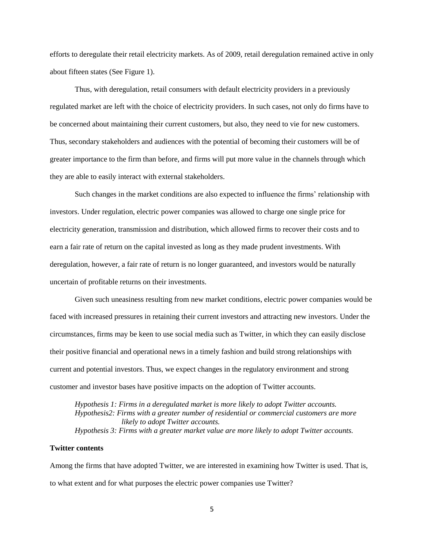efforts to deregulate their retail electricity markets. As of 2009, retail deregulation remained active in only about fifteen states (See Figure 1).

Thus, with deregulation, retail consumers with default electricity providers in a previously regulated market are left with the choice of electricity providers. In such cases, not only do firms have to be concerned about maintaining their current customers, but also, they need to vie for new customers. Thus, secondary stakeholders and audiences with the potential of becoming their customers will be of greater importance to the firm than before, and firms will put more value in the channels through which they are able to easily interact with external stakeholders.

Such changes in the market conditions are also expected to influence the firms' relationship with investors. Under regulation, electric power companies was allowed to charge one single price for electricity generation, transmission and distribution, which allowed firms to recover their costs and to earn a fair rate of return on the capital invested as long as they made prudent investments. With deregulation, however, a fair rate of return is no longer guaranteed, and investors would be naturally uncertain of profitable returns on their investments.

Given such uneasiness resulting from new market conditions, electric power companies would be faced with increased pressures in retaining their current investors and attracting new investors. Under the circumstances, firms may be keen to use social media such as Twitter, in which they can easily disclose their positive financial and operational news in a timely fashion and build strong relationships with current and potential investors. Thus, we expect changes in the regulatory environment and strong customer and investor bases have positive impacts on the adoption of Twitter accounts.

*Hypothesis 1: Firms in a deregulated market is more likely to adopt Twitter accounts. Hypothesis2: Firms with a greater number of residential or commercial customers are more likely to adopt Twitter accounts. Hypothesis 3: Firms with a greater market value are more likely to adopt Twitter accounts.*

## **Twitter contents**

Among the firms that have adopted Twitter, we are interested in examining how Twitter is used. That is, to what extent and for what purposes the electric power companies use Twitter?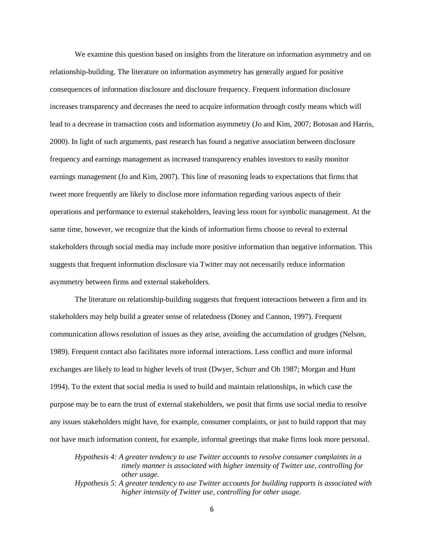We examine this question based on insights from the literature on information asymmetry and on relationship-building. The literature on information asymmetry has generally argued for positive consequences of information disclosure and disclosure frequency. Frequent information disclosure increases transparency and decreases the need to acquire information through costly means which will lead to a decrease in transaction costs and information asymmetry (Jo and Kim, 2007; Botosan and Harris, 2000). In light of such arguments, past research has found a negative association between disclosure frequency and earnings management as increased transparency enables investors to easily monitor earnings management (Jo and Kim, 2007). This line of reasoning leads to expectations that firms that tweet more frequently are likely to disclose more information regarding various aspects of their operations and performance to external stakeholders, leaving less room for symbolic management. At the same time, however, we recognize that the kinds of information firms choose to reveal to external stakeholders through social media may include more positive information than negative information. This suggests that frequent information disclosure via Twitter may not necessarily reduce information asymmetry between firms and external stakeholders.

The literature on relationship-building suggests that frequent interactions between a firm and its stakeholders may help build a greater sense of relatedness (Doney and Cannon, 1997). Frequent communication allows resolution of issues as they arise, avoiding the accumulation of grudges (Nelson, 1989). Frequent contact also facilitates more informal interactions. Less conflict and more informal exchanges are likely to lead to higher levels of trust (Dwyer, Schurr and Oh 1987; Morgan and Hunt 1994). To the extent that social media is used to build and maintain relationships, in which case the purpose may be to earn the trust of external stakeholders, we posit that firms use social media to resolve any issues stakeholders might have, for example, consumer complaints, or just to build rapport that may not have much information content, for example, informal greetings that make firms look more personal.

*Hypothesis 4: A greater tendency to use Twitter accounts to resolve consumer complaints in a timely manner is associated with higher intensity of Twitter use, controlling for other usage.* 

*Hypothesis 5: A greater tendency to use Twitter accounts for building rapports is associated with higher intensity of Twitter use, controlling for other usage.*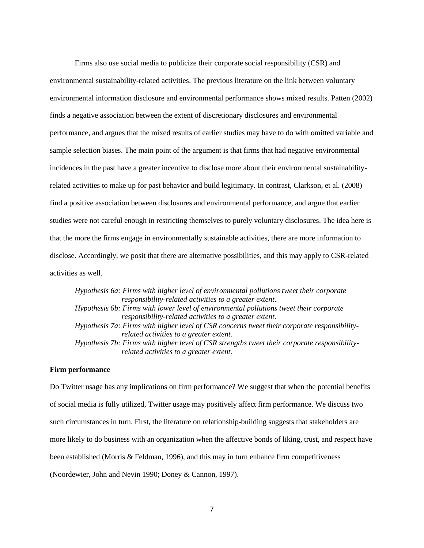Firms also use social media to publicize their corporate social responsibility (CSR) and environmental sustainability-related activities. The previous literature on the link between voluntary environmental information disclosure and environmental performance shows mixed results. Patten (2002) finds a negative association between the extent of discretionary disclosures and environmental performance, and argues that the mixed results of earlier studies may have to do with omitted variable and sample selection biases. The main point of the argument is that firms that had negative environmental incidences in the past have a greater incentive to disclose more about their environmental sustainabilityrelated activities to make up for past behavior and build legitimacy. In contrast, Clarkson, et al. (2008) find a positive association between disclosures and environmental performance, and argue that earlier studies were not careful enough in restricting themselves to purely voluntary disclosures. The idea here is that the more the firms engage in environmentally sustainable activities, there are more information to disclose. Accordingly, we posit that there are alternative possibilities, and this may apply to CSR-related activities as well.

*Hypothesis 6a: Firms with higher level of environmental pollutions tweet their corporate responsibility-related activities to a greater extent. Hypothesis 6b: Firms with lower level of environmental pollutions tweet their corporate responsibility-related activities to a greater extent. Hypothesis 7a: Firms with higher level of CSR concerns tweet their corporate responsibilityrelated activities to a greater extent. Hypothesis 7b: Firms with higher level of CSR strengths tweet their corporate responsibilityrelated activities to a greater extent.* 

## **Firm performance**

Do Twitter usage has any implications on firm performance? We suggest that when the potential benefits of social media is fully utilized, Twitter usage may positively affect firm performance. We discuss two such circumstances in turn. First, the literature on relationship-building suggests that stakeholders are more likely to do business with an organization when the affective bonds of liking, trust, and respect have been established (Morris & Feldman, 1996), and this may in turn enhance firm competitiveness (Noordewier, John and Nevin 1990; Doney & Cannon, 1997).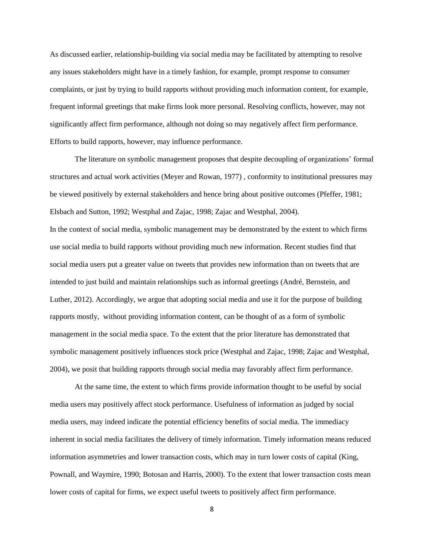As discussed earlier, relationship-building via social media may be facilitated by attempting to resolve any issues stakeholders might have in a timely fashion, for example, prompt response to consumer complaints, or just by trying to build rapports without providing much information content, for example, frequent informal greetings that make firms look more personal. Resolving conflicts, however, may not significantly affect firm performance, although not doing so may negatively affect firm performance. Efforts to build rapports, however, may influence performance.

The literature on symbolic management proposes that despite decoupling of organizations' formal structures and actual work activities (Meyer and Rowan, 1977) , conformity to institutional pressures may be viewed positively by external stakeholders and hence bring about positive outcomes (Pfeffer, 1981; Elsbach and Sutton, 1992; Westphal and Zajac, 1998; Zajac and Westphal, 2004). In the context of social media, symbolic management may be demonstrated by the extent to which firms use social media to build rapports without providing much new information. Recent studies find that social media users put a greater value on tweets that provides new information than on tweets that are intended to just build and maintain relationships such as informal greetings (André, Bernstein, and Luther, 2012). Accordingly, we argue that adopting social media and use it for the purpose of building rapports mostly, without providing information content, can be thought of as a form of symbolic management in the social media space. To the extent that the prior literature has demonstrated that symbolic management positively influences stock price (Westphal and Zajac, 1998; Zajac and Westphal, 2004), we posit that building rapports through social media may favorably affect firm performance.

At the same time, the extent to which firms provide information thought to be useful by social media users may positively affect stock performance. Usefulness of information as judged by social media users, may indeed indicate the potential efficiency benefits of social media. The immediacy inherent in social media facilitates the delivery of timely information. Timely information means reduced information asymmetries and lower transaction costs, which may in turn lower costs of capital (King, Pownall, and Waymire, 1990; Botosan and Harris, 2000). To the extent that lower transaction costs mean lower costs of capital for firms, we expect useful tweets to positively affect firm performance.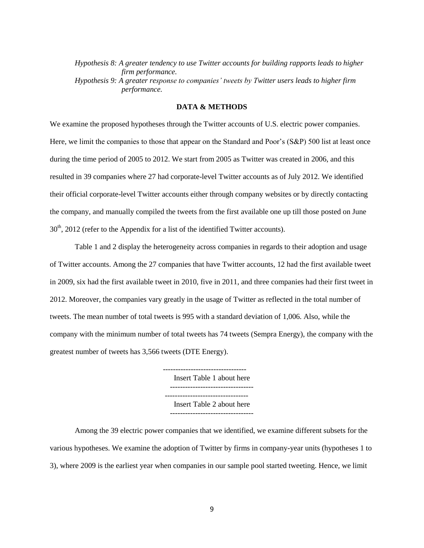*Hypothesis 8: A greater tendency to use Twitter accounts for building rapports leads to higher firm performance. Hypothesis 9: A greater response to companies' tweets by Twitter users leads to higher firm performance.* 

## **DATA & METHODS**

We examine the proposed hypotheses through the Twitter accounts of U.S. electric power companies. Here, we limit the companies to those that appear on the Standard and Poor's (S&P) 500 list at least once during the time period of 2005 to 2012. We start from 2005 as Twitter was created in 2006, and this resulted in 39 companies where 27 had corporate-level Twitter accounts as of July 2012. We identified their official corporate-level Twitter accounts either through company websites or by directly contacting the company, and manually compiled the tweets from the first available one up till those posted on June  $30<sup>th</sup>$ ,  $2012$  (refer to the Appendix for a list of the identified Twitter accounts).

Table 1 and 2 display the heterogeneity across companies in regards to their adoption and usage of Twitter accounts. Among the 27 companies that have Twitter accounts, 12 had the first available tweet in 2009, six had the first available tweet in 2010, five in 2011, and three companies had their first tweet in 2012. Moreover, the companies vary greatly in the usage of Twitter as reflected in the total number of tweets. The mean number of total tweets is 995 with a standard deviation of 1,006. Also, while the company with the minimum number of total tweets has 74 tweets (Sempra Energy), the company with the greatest number of tweets has 3,566 tweets (DTE Energy).

> --------------------------------- Insert Table 1 about here --------------------------------- --------------------------------- Insert Table 2 about here ---------------------------------

Among the 39 electric power companies that we identified, we examine different subsets for the various hypotheses. We examine the adoption of Twitter by firms in company-year units (hypotheses 1 to 3), where 2009 is the earliest year when companies in our sample pool started tweeting. Hence, we limit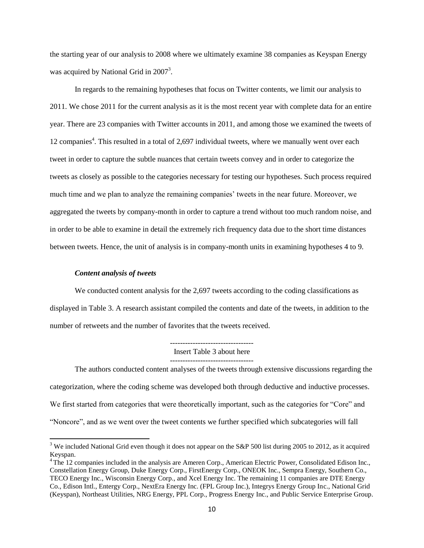the starting year of our analysis to 2008 where we ultimately examine 38 companies as Keyspan Energy was acquired by National Grid in  $2007<sup>3</sup>$ .

In regards to the remaining hypotheses that focus on Twitter contents, we limit our analysis to 2011. We chose 2011 for the current analysis as it is the most recent year with complete data for an entire year. There are 23 companies with Twitter accounts in 2011, and among those we examined the tweets of 12 companies<sup>4</sup>. This resulted in a total of 2,697 individual tweets, where we manually went over each tweet in order to capture the subtle nuances that certain tweets convey and in order to categorize the tweets as closely as possible to the categories necessary for testing our hypotheses. Such process required much time and we plan to analyze the remaining companies' tweets in the near future. Moreover, we aggregated the tweets by company-month in order to capture a trend without too much random noise, and in order to be able to examine in detail the extremely rich frequency data due to the short time distances between tweets. Hence, the unit of analysis is in company-month units in examining hypotheses 4 to 9.

#### *Content analysis of tweets*

 $\overline{\phantom{a}}$ 

We conducted content analysis for the 2,697 tweets according to the coding classifications as displayed in Table 3. A research assistant compiled the contents and date of the tweets, in addition to the number of retweets and the number of favorites that the tweets received.

> --------------------------------- Insert Table 3 about here ---------------------------------

The authors conducted content analyses of the tweets through extensive discussions regarding the categorization, where the coding scheme was developed both through deductive and inductive processes. We first started from categories that were theoretically important, such as the categories for "Core" and "Noncore", and as we went over the tweet contents we further specified which subcategories will fall

<sup>&</sup>lt;sup>3</sup> We included National Grid even though it does not appear on the S&P 500 list during 2005 to 2012, as it acquired Keyspan.

<sup>&</sup>lt;sup>4</sup> The 12 companies included in the analysis are Ameren Corp., American Electric Power, Consolidated Edison Inc., Constellation Energy Group, Duke Energy Corp., FirstEnergy Corp., ONEOK Inc., Sempra Energy, Southern Co., TECO Energy Inc., Wisconsin Energy Corp., and Xcel Energy Inc. The remaining 11 companies are DTE Energy Co., Edison Intl., Entergy Corp., NextEra Energy Inc. (FPL Group Inc.), Integrys Energy Group Inc., National Grid (Keyspan), Northeast Utilities, NRG Energy, PPL Corp., Progress Energy Inc., and Public Service Enterprise Group.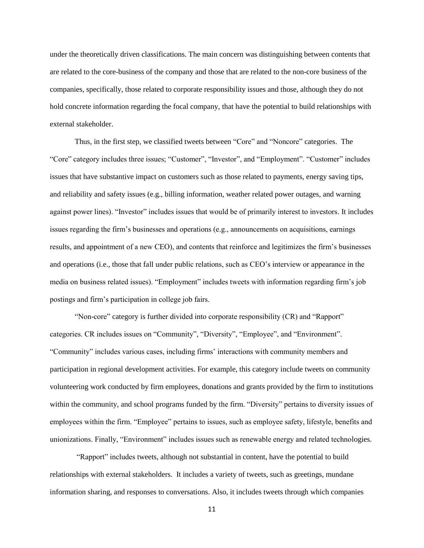under the theoretically driven classifications. The main concern was distinguishing between contents that are related to the core-business of the company and those that are related to the non-core business of the companies, specifically, those related to corporate responsibility issues and those, although they do not hold concrete information regarding the focal company, that have the potential to build relationships with external stakeholder.

Thus, in the first step, we classified tweets between "Core" and "Noncore" categories. The "Core" category includes three issues; "Customer", "Investor", and "Employment". "Customer" includes issues that have substantive impact on customers such as those related to payments, energy saving tips, and reliability and safety issues (e.g., billing information, weather related power outages, and warning against power lines). "Investor" includes issues that would be of primarily interest to investors. It includes issues regarding the firm's businesses and operations (e.g., announcements on acquisitions, earnings results, and appointment of a new CEO), and contents that reinforce and legitimizes the firm's businesses and operations (i.e., those that fall under public relations, such as CEO's interview or appearance in the media on business related issues). "Employment" includes tweets with information regarding firm's job postings and firm's participation in college job fairs.

"Non-core" category is further divided into corporate responsibility (CR) and "Rapport" categories. CR includes issues on "Community", "Diversity", "Employee", and "Environment". "Community" includes various cases, including firms' interactions with community members and participation in regional development activities. For example, this category include tweets on community volunteering work conducted by firm employees, donations and grants provided by the firm to institutions within the community, and school programs funded by the firm. "Diversity" pertains to diversity issues of employees within the firm. "Employee" pertains to issues, such as employee safety, lifestyle, benefits and unionizations. Finally, "Environment" includes issues such as renewable energy and related technologies.

"Rapport" includes tweets, although not substantial in content, have the potential to build relationships with external stakeholders. It includes a variety of tweets, such as greetings, mundane information sharing, and responses to conversations. Also, it includes tweets through which companies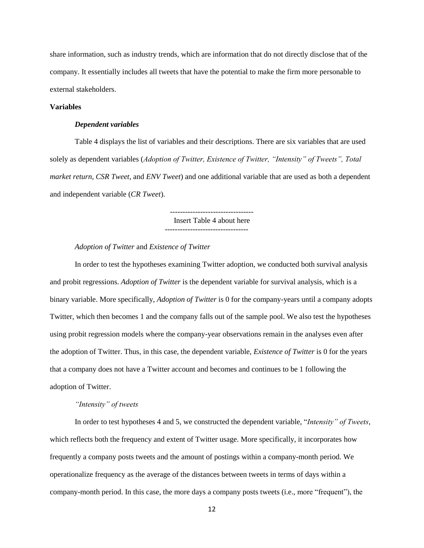share information, such as industry trends, which are information that do not directly disclose that of the company. It essentially includes all tweets that have the potential to make the firm more personable to external stakeholders.

## **Variables**

#### *Dependent variables*

Table 4 displays the list of variables and their descriptions. There are six variables that are used solely as dependent variables (*Adoption of Twitter, Existence of Twitter, "Intensity" of Tweets", Total market return, CSR Tweet*, and *ENV Tweet*) and one additional variable that are used as both a dependent and independent variable (*CR Tweet*).

> --------------------------------- Insert Table 4 about here

## *Adoption of Twitter* and *Existence of Twitter*

In order to test the hypotheses examining Twitter adoption, we conducted both survival analysis and probit regressions. *Adoption of Twitter* is the dependent variable for survival analysis, which is a binary variable. More specifically, *Adoption of Twitter* is 0 for the company-years until a company adopts Twitter, which then becomes 1 and the company falls out of the sample pool. We also test the hypotheses using probit regression models where the company-year observations remain in the analyses even after the adoption of Twitter. Thus, in this case, the dependent variable, *Existence of Twitter* is 0 for the years that a company does not have a Twitter account and becomes and continues to be 1 following the adoption of Twitter.

## *"Intensity" of tweets*

In order to test hypotheses 4 and 5, we constructed the dependent variable, "*Intensity" of Tweets,*  which reflects both the frequency and extent of Twitter usage. More specifically, it incorporates how frequently a company posts tweets and the amount of postings within a company-month period. We operationalize frequency as the average of the distances between tweets in terms of days within a company-month period. In this case, the more days a company posts tweets (i.e., more "frequent"), the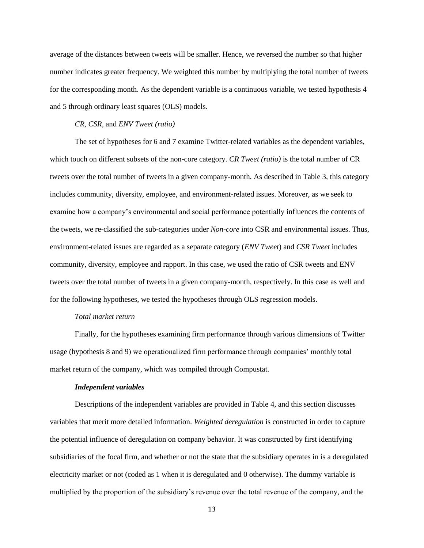average of the distances between tweets will be smaller. Hence, we reversed the number so that higher number indicates greater frequency. We weighted this number by multiplying the total number of tweets for the corresponding month. As the dependent variable is a continuous variable, we tested hypothesis 4 and 5 through ordinary least squares (OLS) models.

#### *CR, CSR*, and *ENV Tweet (ratio)*

The set of hypotheses for 6 and 7 examine Twitter-related variables as the dependent variables, which touch on different subsets of the non-core category. *CR Tweet (ratio)* is the total number of CR tweets over the total number of tweets in a given company-month. As described in Table 3, this category includes community, diversity, employee, and environment-related issues. Moreover, as we seek to examine how a company's environmental and social performance potentially influences the contents of the tweets, we re-classified the sub-categories under *Non-core* into CSR and environmental issues. Thus, environment-related issues are regarded as a separate category (*ENV Tweet*) and *CSR Tweet* includes community, diversity, employee and rapport. In this case, we used the ratio of CSR tweets and ENV tweets over the total number of tweets in a given company-month, respectively. In this case as well and for the following hypotheses, we tested the hypotheses through OLS regression models.

#### *Total market return*

Finally, for the hypotheses examining firm performance through various dimensions of Twitter usage (hypothesis 8 and 9) we operationalized firm performance through companies' monthly total market return of the company, which was compiled through Compustat.

#### *Independent variables*

Descriptions of the independent variables are provided in Table 4, and this section discusses variables that merit more detailed information. *Weighted deregulation* is constructed in order to capture the potential influence of deregulation on company behavior. It was constructed by first identifying subsidiaries of the focal firm, and whether or not the state that the subsidiary operates in is a deregulated electricity market or not (coded as 1 when it is deregulated and 0 otherwise). The dummy variable is multiplied by the proportion of the subsidiary's revenue over the total revenue of the company, and the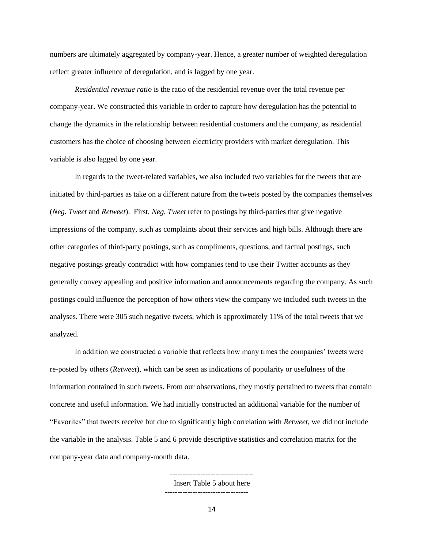numbers are ultimately aggregated by company-year. Hence, a greater number of weighted deregulation reflect greater influence of deregulation, and is lagged by one year.

*Residential revenue ratio* is the ratio of the residential revenue over the total revenue per company-year. We constructed this variable in order to capture how deregulation has the potential to change the dynamics in the relationship between residential customers and the company, as residential customers has the choice of choosing between electricity providers with market deregulation. This variable is also lagged by one year.

In regards to the tweet-related variables, we also included two variables for the tweets that are initiated by third-parties as take on a different nature from the tweets posted by the companies themselves (*Neg. Tweet* and *Retweet*). First, *Neg. Tweet* refer to postings by third-parties that give negative impressions of the company, such as complaints about their services and high bills. Although there are other categories of third-party postings, such as compliments, questions, and factual postings, such negative postings greatly contradict with how companies tend to use their Twitter accounts as they generally convey appealing and positive information and announcements regarding the company. As such postings could influence the perception of how others view the company we included such tweets in the analyses. There were 305 such negative tweets, which is approximately 11% of the total tweets that we analyzed.

In addition we constructed a variable that reflects how many times the companies' tweets were re-posted by others (*Retweet*), which can be seen as indications of popularity or usefulness of the information contained in such tweets. From our observations, they mostly pertained to tweets that contain concrete and useful information. We had initially constructed an additional variable for the number of "Favorites" that tweets receive but due to significantly high correlation with *Retweet*, we did not include the variable in the analysis. Table 5 and 6 provide descriptive statistics and correlation matrix for the company-year data and company-month data.

> Insert Table 5 about here ---------------------------------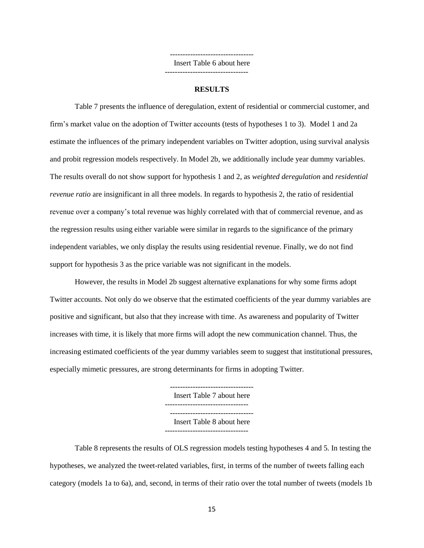--------------------------------- Insert Table 6 about here

---------------------------------

#### **RESULTS**

Table 7 presents the influence of deregulation, extent of residential or commercial customer, and firm's market value on the adoption of Twitter accounts (tests of hypotheses 1 to 3). Model 1 and 2a estimate the influences of the primary independent variables on Twitter adoption, using survival analysis and probit regression models respectively. In Model 2b, we additionally include year dummy variables. The results overall do not show support for hypothesis 1 and 2, as *weighted deregulation* and *residential revenue ratio* are insignificant in all three models. In regards to hypothesis 2, the ratio of residential revenue over a company's total revenue was highly correlated with that of commercial revenue, and as the regression results using either variable were similar in regards to the significance of the primary independent variables, we only display the results using residential revenue. Finally, we do not find support for hypothesis 3 as the price variable was not significant in the models.

However, the results in Model 2b suggest alternative explanations for why some firms adopt Twitter accounts. Not only do we observe that the estimated coefficients of the year dummy variables are positive and significant, but also that they increase with time. As awareness and popularity of Twitter increases with time, it is likely that more firms will adopt the new communication channel. Thus, the increasing estimated coefficients of the year dummy variables seem to suggest that institutional pressures, especially mimetic pressures, are strong determinants for firms in adopting Twitter.

> Insert Table 7 about here --------------------------------- --------------------------------- Insert Table 8 about here ---------------------------------

Table 8 represents the results of OLS regression models testing hypotheses 4 and 5. In testing the hypotheses, we analyzed the tweet-related variables, first, in terms of the number of tweets falling each category (models 1a to 6a), and, second, in terms of their ratio over the total number of tweets (models 1b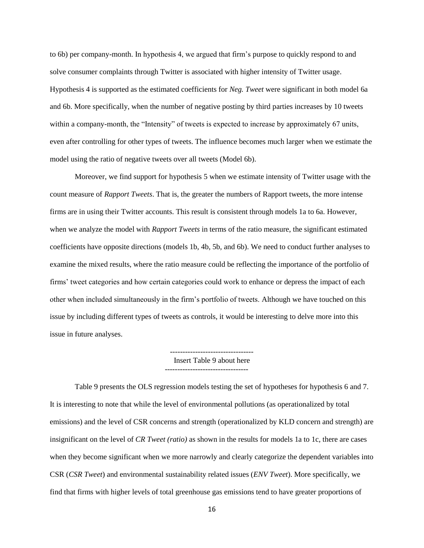to 6b) per company-month. In hypothesis 4, we argued that firm's purpose to quickly respond to and solve consumer complaints through Twitter is associated with higher intensity of Twitter usage. Hypothesis 4 is supported as the estimated coefficients for *Neg. Tweet* were significant in both model 6a and 6b. More specifically, when the number of negative posting by third parties increases by 10 tweets within a company-month, the "Intensity" of tweets is expected to increase by approximately 67 units, even after controlling for other types of tweets. The influence becomes much larger when we estimate the model using the ratio of negative tweets over all tweets (Model 6b).

Moreover, we find support for hypothesis 5 when we estimate intensity of Twitter usage with the count measure of *Rapport Tweets*. That is, the greater the numbers of Rapport tweets, the more intense firms are in using their Twitter accounts. This result is consistent through models 1a to 6a. However, when we analyze the model with *Rapport Tweets* in terms of the ratio measure, the significant estimated coefficients have opposite directions (models 1b, 4b, 5b, and 6b). We need to conduct further analyses to examine the mixed results, where the ratio measure could be reflecting the importance of the portfolio of firms' tweet categories and how certain categories could work to enhance or depress the impact of each other when included simultaneously in the firm's portfolio of tweets. Although we have touched on this issue by including different types of tweets as controls, it would be interesting to delve more into this issue in future analyses.

> --------------------------------- Insert Table 9 about here ---------------------------------

Table 9 presents the OLS regression models testing the set of hypotheses for hypothesis 6 and 7. It is interesting to note that while the level of environmental pollutions (as operationalized by total emissions) and the level of CSR concerns and strength (operationalized by KLD concern and strength) are insignificant on the level of *CR Tweet (ratio)* as shown in the results for models 1a to 1c, there are cases when they become significant when we more narrowly and clearly categorize the dependent variables into CSR (*CSR Tweet*) and environmental sustainability related issues (*ENV Tweet*). More specifically, we find that firms with higher levels of total greenhouse gas emissions tend to have greater proportions of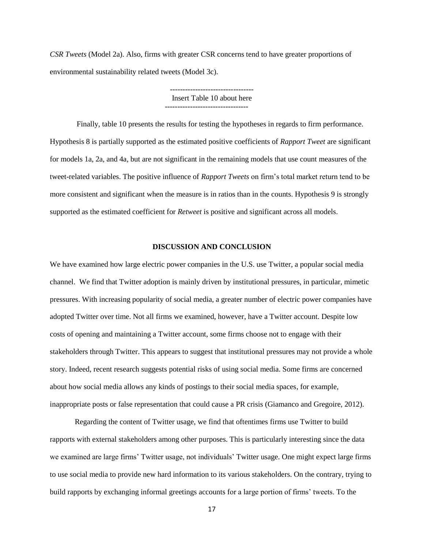*CSR Tweets* (Model 2a). Also, firms with greater CSR concerns tend to have greater proportions of environmental sustainability related tweets (Model 3c).

> --------------------------------- Insert Table 10 about here ---------------------------------

Finally, table 10 presents the results for testing the hypotheses in regards to firm performance. Hypothesis 8 is partially supported as the estimated positive coefficients of *Rapport Tweet* are significant for models 1a, 2a, and 4a, but are not significant in the remaining models that use count measures of the tweet-related variables. The positive influence of *Rapport Tweets* on firm's total market return tend to be more consistent and significant when the measure is in ratios than in the counts. Hypothesis 9 is strongly supported as the estimated coefficient for *Retweet* is positive and significant across all models.

### **DISCUSSION AND CONCLUSION**

We have examined how large electric power companies in the U.S. use Twitter, a popular social media channel. We find that Twitter adoption is mainly driven by institutional pressures, in particular, mimetic pressures. With increasing popularity of social media, a greater number of electric power companies have adopted Twitter over time. Not all firms we examined, however, have a Twitter account. Despite low costs of opening and maintaining a Twitter account, some firms choose not to engage with their stakeholders through Twitter. This appears to suggest that institutional pressures may not provide a whole story. Indeed, recent research suggests potential risks of using social media. Some firms are concerned about how social media allows any kinds of postings to their social media spaces, for example, inappropriate posts or false representation that could cause a PR crisis (Giamanco and Gregoire, 2012).

Regarding the content of Twitter usage, we find that oftentimes firms use Twitter to build rapports with external stakeholders among other purposes. This is particularly interesting since the data we examined are large firms' Twitter usage, not individuals' Twitter usage. One might expect large firms to use social media to provide new hard information to its various stakeholders. On the contrary, trying to build rapports by exchanging informal greetings accounts for a large portion of firms' tweets. To the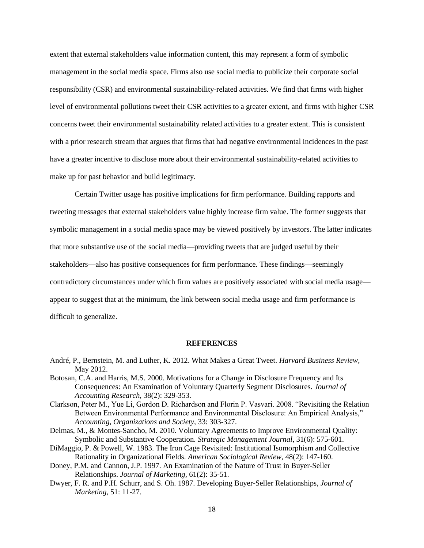extent that external stakeholders value information content, this may represent a form of symbolic management in the social media space. Firms also use social media to publicize their corporate social responsibility (CSR) and environmental sustainability-related activities. We find that firms with higher level of environmental pollutions tweet their CSR activities to a greater extent, and firms with higher CSR concerns tweet their environmental sustainability related activities to a greater extent. This is consistent with a prior research stream that argues that firms that had negative environmental incidences in the past have a greater incentive to disclose more about their environmental sustainability-related activities to make up for past behavior and build legitimacy.

Certain Twitter usage has positive implications for firm performance. Building rapports and tweeting messages that external stakeholders value highly increase firm value. The former suggests that symbolic management in a social media space may be viewed positively by investors. The latter indicates that more substantive use of the social media—providing tweets that are judged useful by their stakeholders—also has positive consequences for firm performance. These findings—seemingly contradictory circumstances under which firm values are positively associated with social media usage appear to suggest that at the minimum, the link between social media usage and firm performance is difficult to generalize.

#### **REFERENCES**

- André, P., Bernstein, M. and Luther, K. 2012. What Makes a Great Tweet. *Harvard Business Review*, May 2012.
- Botosan, C.A. and Harris, M.S. 2000. Motivations for a Change in Disclosure Frequency and Its Consequences: An Examination of Voluntary Quarterly Segment Disclosures. *Journal of Accounting Research*, 38(2): 329-353.
- Clarkson, Peter M., Yue Li, Gordon D. Richardson and Florin P. Vasvari. 2008. "Revisiting the Relation Between Environmental Performance and Environmental Disclosure: An Empirical Analysis," *Accounting, Organizations and Society*, 33: 303-327.
- Delmas, M., & Montes-Sancho, M. 2010. Voluntary Agreements to Improve Environmental Quality: Symbolic and Substantive Cooperation. *Strategic Management Journal*, 31(6): 575-601.
- DiMaggio, P. & Powell, W. 1983. The Iron Cage Revisited: Institutional Isomorphism and Collective Rationality in Organizational Fields. *American Sociological Review*, 48(2): 147-160.
- Doney, P.M. and Cannon, J.P. 1997. An Examination of the Nature of Trust in Buyer-Seller Relationships. *Journal of Marketing*, 61(2): 35-51.
- Dwyer, F. R. and P.H. Schurr, and S. Oh. 1987. Developing Buyer-Seller Relationships, *Journal of Marketing*, 51: 11-27.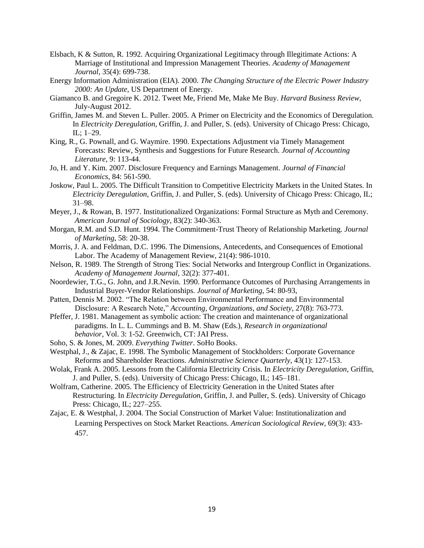- Elsbach, K & Sutton, R. 1992. Acquiring Organizational Legitimacy through Illegitimate Actions: A Marriage of Institutional and Impression Management Theories. *Academy of Management Journal*, 35(4): 699-738.
- Energy Information Administration (EIA). 2000. *The Changing Structure of the Electric Power Industry 2000: An Update*, US Department of Energy.
- Giamanco B. and Gregoire K. 2012. Tweet Me, Friend Me, Make Me Buy. *Harvard Business Review*, July-August 2012.
- Griffin, James M. and Steven L. Puller. 2005. A Primer on Electricity and the Economics of Deregulation. In *Electricity Deregulation*, Griffin, J. and Puller, S. (eds). University of Chicago Press: Chicago, IL; 1–29.
- King, R., G. Pownall, and G. Waymire. 1990. Expectations Adjustment via Timely Management Forecasts: Review, Synthesis and Suggestions for Future Research. *Journal of Accounting Literature*, 9: 113-44.
- Jo, H. and Y. Kim. 2007. Disclosure Frequency and Earnings Management. *Journal of Financial Economics*, 84: 561-590.
- Joskow, Paul L. 2005. The Difficult Transition to Competitive Electricity Markets in the United States. In *Electricity Deregulation*, Griffin, J. and Puller, S. (eds). University of Chicago Press: Chicago, IL; 31–98.
- Meyer, J., & Rowan, B. 1977. Institutionalized Organizations: Formal Structure as Myth and Ceremony. *American Journal of Sociology*, 83(2): 340-363.
- Morgan, R.M. and S.D. Hunt. 1994. The Commitment-Trust Theory of Relationship Marketing. *Journal of Marketing*, 58: 20-38.
- Morris, J. A. and Feldman, D.C. 1996. The Dimensions, Antecedents, and Consequences of Emotional Labor. The Academy of Management Review, 21(4): 986-1010.
- Nelson, R. 1989. The Strength of Strong Ties: Social Networks and Intergroup Conflict in Organizations. *Academy of Management Journal*, 32(2): 377-401.
- Noordewier, T.G., G. John, and J.R.Nevin. 1990. Performance Outcomes of Purchasing Arrangements in Industrial Buyer-Vendor Relationships. *Journal of Marketing*, 54: 80-93,
- Patten, Dennis M. 2002. "The Relation between Environmental Performance and Environmental Disclosure: A Research Note," *Accounting, Organizations, and Society*, 27(8): 763-773.
- Pfeffer, J. 1981. Management as symbolic action: The creation and maintenance of organizational paradigms. In L. L. Cummings and B. M. Shaw (Eds.), *Research in organizational behavior*, Vol. 3: 1-52. Greenwich, CT: JAI Press.
- Soho, S. & Jones, M. 2009. *Everything Twitter*. SoHo Books.
- Westphal, J., & Zajac, E. 1998. The Symbolic Management of Stockholders: Corporate Governance Reforms and Shareholder Reactions. *Administrative Science Quarterly*, 43(1): 127-153.
- Wolak, Frank A. 2005. Lessons from the California Electricity Crisis. In *Electricity Deregulation*, Griffin, J. and Puller, S. (eds). University of Chicago Press: Chicago, IL; 145–181.
- Wolfram, Catherine. 2005. The Efficiency of Electricity Generation in the United States after Restructuring. In *Electricity Deregulation*, Griffin, J. and Puller, S. (eds). University of Chicago Press: Chicago, IL; 227–255.
- Zajac, E. & Westphal, J. 2004. The Social Construction of Market Value: Institutionalization and Learning Perspectives on Stock Market Reactions. *American Sociological Review*, 69(3): 433- 457.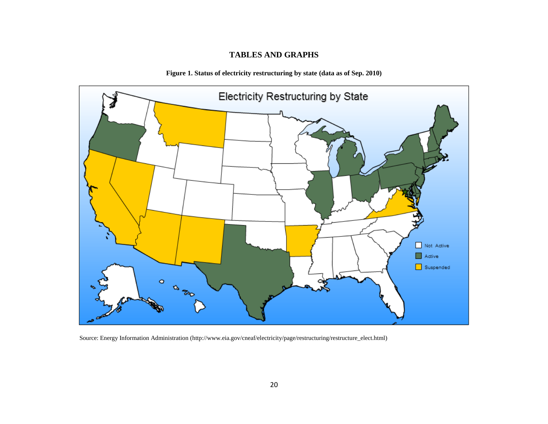# **TABLES AND GRAPHS**

**Figure 1. Status of electricity restructuring by state (data as of Sep. 2010)**



Source: Energy Information Administration [\(http://www.eia.gov/cneaf/electricity/page/restructuring/restructure\\_elect.html\)](http://www.eia.gov/cneaf/electricity/page/restructuring/restructure_elect.html)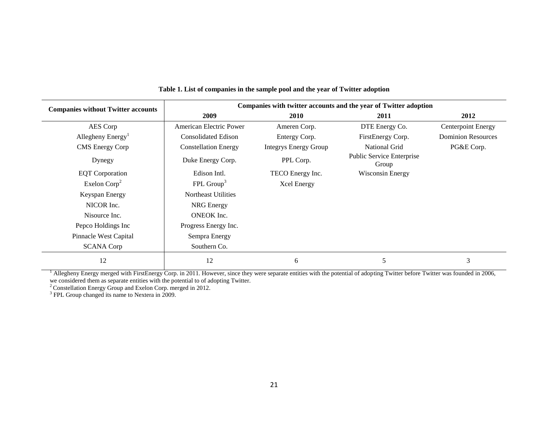| <b>Companies without Twitter accounts</b> |                             |                              | Companies with twitter accounts and the year of Twitter adoption |                           |
|-------------------------------------------|-----------------------------|------------------------------|------------------------------------------------------------------|---------------------------|
|                                           | 2009                        | <b>2010</b>                  | 2011                                                             | 2012                      |
| AES Corp                                  | American Electric Power     | Ameren Corp.                 | DTE Energy Co.                                                   | <b>Centerpoint Energy</b> |
| Allegheny Energy <sup>1</sup>             | <b>Consolidated Edison</b>  | Entergy Corp.                | FirstEnergy Corp.                                                | <b>Dominion Resources</b> |
| <b>CMS</b> Energy Corp                    | <b>Constellation Energy</b> | <b>Integrys Energy Group</b> | National Grid                                                    | PG&E Corp.                |
| Dynegy                                    | Duke Energy Corp.           | PPL Corp.                    | Public Service Enterprise<br>Group                               |                           |
| <b>EQT</b> Corporation                    | Edison Intl.                | TECO Energy Inc.             | <b>Wisconsin Energy</b>                                          |                           |
| Exelon $\text{Corp}^2$                    | FPL Group <sup>3</sup>      | <b>Xcel Energy</b>           |                                                                  |                           |
| Keyspan Energy                            | Northeast Utilities         |                              |                                                                  |                           |
| NICOR Inc.                                | NRG Energy                  |                              |                                                                  |                           |
| Nisource Inc.                             | <b>ONEOK</b> Inc.           |                              |                                                                  |                           |
| Pepco Holdings Inc                        | Progress Energy Inc.        |                              |                                                                  |                           |
| Pinnacle West Capital                     | Sempra Energy               |                              |                                                                  |                           |
| <b>SCANA Corp</b>                         | Southern Co.                |                              |                                                                  |                           |
| 12                                        | 12                          | 6                            | 5                                                                | 3                         |

#### **Table 1. List of companies in the sample pool and the year of Twitter adoption**

<sup>1</sup> Allegheny Energy merged with FirstEnergy Corp. in 2011. However, since they were separate entities with the potential of adopting Twitter before Twitter was founded in 2006, we considered them as separate entities with the potential to of adopting Twitter.

<sup>2</sup> Constellation Energy Group and Exelon Corp. merged in 2012.<br><sup>3</sup> FPL Group changed its name to Nextera in 2009.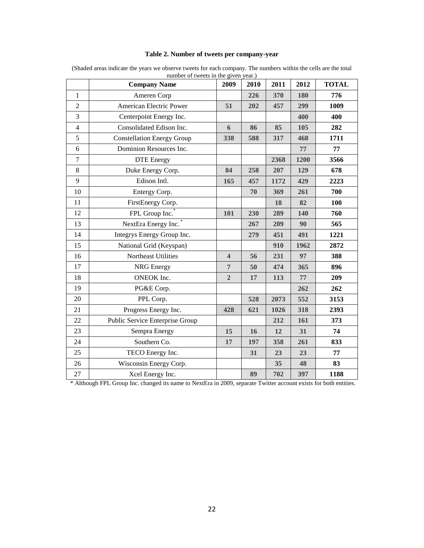|                | <b>Company Name</b>               | 2009           | 2010 | 2011 | 2012 | <b>TOTAL</b> |
|----------------|-----------------------------------|----------------|------|------|------|--------------|
| $\mathbf{1}$   | Ameren Corp                       |                | 226  | 370  | 180  | 776          |
| $\overline{2}$ | American Electric Power           | 51             | 202  | 457  | 299  | 1009         |
| 3              | Centerpoint Energy Inc.           |                |      |      | 400  | 400          |
| $\overline{4}$ | Consolidated Edison Inc.          | $\mathbf{6}$   | 86   | 85   | 105  | 282          |
| 5              | <b>Constellation Energy Group</b> | 338            | 588  | 317  | 468  | 1711         |
| 6              | Dominion Resources Inc.           |                |      |      | 77   | 77           |
| $\overline{7}$ | <b>DTE</b> Energy                 |                |      | 2368 | 1200 | 3566         |
| $8\,$          | Duke Energy Corp.                 | 84             | 258  | 207  | 129  | 678          |
| 9              | Edison Intl.                      | 165            | 457  | 1172 | 429  | 2223         |
| 10             | Entergy Corp.                     |                | 70   | 369  | 261  | 700          |
| 11             | FirstEnergy Corp.                 |                |      | 18   | 82   | <b>100</b>   |
| 12             | FPL Group Inc.                    | 101            | 230  | 289  | 140  | 760          |
| 13             | NextEra Energy Inc.               |                | 267  | 209  | 90   | 565          |
| 14             | Integrys Energy Group Inc.        |                | 279  | 451  | 491  | 1221         |
| 15             | National Grid (Keyspan)           |                |      | 910  | 1962 | 2872         |
| 16             | Northeast Utilities               | $\Delta$       | 56   | 231  | 97   | 388          |
| 17             | <b>NRG</b> Energy                 | 7              | 50   | 474  | 365  | 896          |
| 18             | ONEOK Inc.                        | $\overline{2}$ | 17   | 113  | 77   | 209          |
| 19             | PG&E Corp.                        |                |      |      | 262  | 262          |
| 20             | PPL Corp.                         |                | 528  | 2073 | 552  | 3153         |
| 21             | Progress Energy Inc.              | 428            | 621  | 1026 | 318  | 2393         |
| 22             | Public Service Enterprise Group   |                |      | 212  | 161  | 373          |
| 23             | Sempra Energy                     | 15             | 16   | 12   | 31   | 74           |
| 24             | Southern Co.                      | 17             | 197  | 358  | 261  | 833          |
| 25             | TECO Energy Inc.                  |                | 31   | 23   | 23   | 77           |
| 26             | Wisconsin Energy Corp.            |                |      | 35   | 48   | 83           |
| 27             | Xcel Energy Inc.                  |                | 89   | 702  | 397  | 1188         |

## **Table 2. Number of tweets per company-year**

(Shaded areas indicate the years we observe tweets for each company. The numbers within the cells are the total number of tweets in the given year.)

\* Although FPL Group Inc. changed its name to NextEra in 2009, separate Twitter account exists for both entities.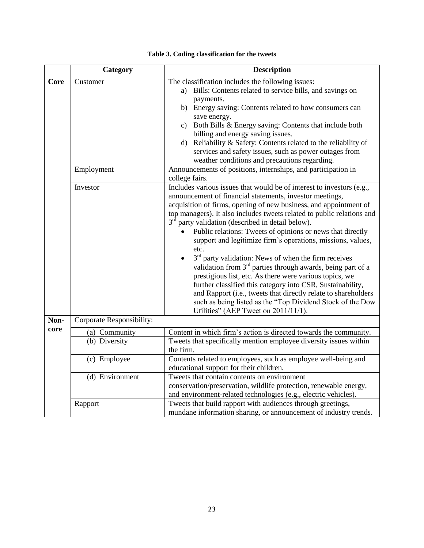|              | Category                       | <b>Description</b>                                                                                                                                                                                                                                                                                                                                                                                                                                                                                                                                                                                                                                                                                                                                                                                                                                                                                       |
|--------------|--------------------------------|----------------------------------------------------------------------------------------------------------------------------------------------------------------------------------------------------------------------------------------------------------------------------------------------------------------------------------------------------------------------------------------------------------------------------------------------------------------------------------------------------------------------------------------------------------------------------------------------------------------------------------------------------------------------------------------------------------------------------------------------------------------------------------------------------------------------------------------------------------------------------------------------------------|
| Core         | Customer                       | The classification includes the following issues:<br>a) Bills: Contents related to service bills, and savings on<br>payments.<br>b) Energy saving: Contents related to how consumers can<br>save energy.<br>c) Both Bills & Energy saving: Contents that include both<br>billing and energy saving issues.<br>d) Reliability & Safety: Contents related to the reliability of<br>services and safety issues, such as power outages from<br>weather conditions and precautions regarding.                                                                                                                                                                                                                                                                                                                                                                                                                 |
|              | Employment                     | Announcements of positions, internships, and participation in<br>college fairs.                                                                                                                                                                                                                                                                                                                                                                                                                                                                                                                                                                                                                                                                                                                                                                                                                          |
|              | Investor                       | Includes various issues that would be of interest to investors (e.g.,<br>announcement of financial statements, investor meetings,<br>acquisition of firms, opening of new business, and appointment of<br>top managers). It also includes tweets related to public relations and<br>$3rd$ party validation (described in detail below).<br>Public relations: Tweets of opinions or news that directly<br>support and legitimize firm's operations, missions, values,<br>etc.<br>$3rd$ party validation: News of when the firm receives<br>validation from $3rd$ parties through awards, being part of a<br>prestigious list, etc. As there were various topics, we<br>further classified this category into CSR, Sustainability,<br>and Rapport (i.e., tweets that directly relate to shareholders<br>such as being listed as the "Top Dividend Stock of the Dow<br>Utilities" (AEP Tweet on 2011/11/1). |
| Non-<br>core | Corporate Responsibility:      |                                                                                                                                                                                                                                                                                                                                                                                                                                                                                                                                                                                                                                                                                                                                                                                                                                                                                                          |
|              | (a) Community<br>(b) Diversity | Content in which firm's action is directed towards the community.<br>Tweets that specifically mention employee diversity issues within<br>the firm.                                                                                                                                                                                                                                                                                                                                                                                                                                                                                                                                                                                                                                                                                                                                                      |
|              | (c) Employee                   | Contents related to employees, such as employee well-being and<br>educational support for their children.                                                                                                                                                                                                                                                                                                                                                                                                                                                                                                                                                                                                                                                                                                                                                                                                |
|              | (d) Environment                | Tweets that contain contents on environment<br>conservation/preservation, wildlife protection, renewable energy,<br>and environment-related technologies (e.g., electric vehicles).                                                                                                                                                                                                                                                                                                                                                                                                                                                                                                                                                                                                                                                                                                                      |
|              | Rapport                        | Tweets that build rapport with audiences through greetings,<br>mundane information sharing, or announcement of industry trends.                                                                                                                                                                                                                                                                                                                                                                                                                                                                                                                                                                                                                                                                                                                                                                          |

|  |  | Table 3. Coding classification for the tweets |  |  |
|--|--|-----------------------------------------------|--|--|
|--|--|-----------------------------------------------|--|--|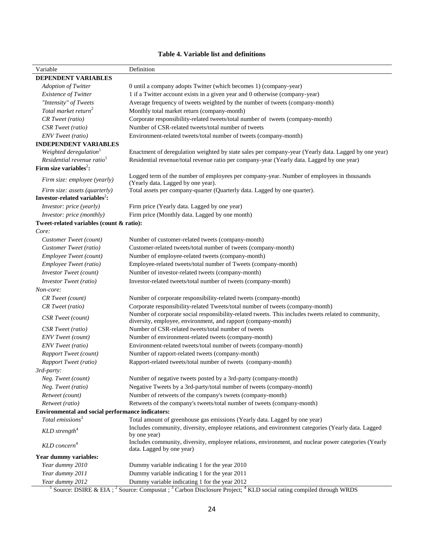# **Table 4. Variable list and definitions**

| Variable                                         | Definition                                                                                                                        |
|--------------------------------------------------|-----------------------------------------------------------------------------------------------------------------------------------|
| DEPENDENT VARIABLES                              |                                                                                                                                   |
| <b>Adoption of Twitter</b>                       | 0 until a company adopts Twitter (which becomes 1) (company-year)                                                                 |
| <b>Existence of Twitter</b>                      | 1 if a Twitter account exists in a given year and 0 otherwise (company-year)                                                      |
| "Intensity" of Tweets                            | Average frequency of tweets weighted by the number of tweets (company-month)                                                      |
| Total market return <sup>2</sup>                 | Monthly total market return (company-month)                                                                                       |
| CR Tweet (ratio)                                 | Corporate responsibility-related tweets/total number of tweets (company-month)                                                    |
| CSR Tweet (ratio)                                | Number of CSR-related tweets/total number of tweets                                                                               |
| <b>ENV</b> Tweet (ratio)                         | Environment-related tweets/total number of tweets (company-month)                                                                 |
| <b>INDEPENDENT VARIABLES</b>                     |                                                                                                                                   |
| Weighted deregulation <sup>1</sup>               | Enactment of deregulation weighted by state sales per company-year (Yearly data. Lagged by one year)                              |
| Residential revenue ratio <sup>1</sup>           | Residential revenue/total revenue ratio per company-year (Yearly data. Lagged by one year)                                        |
| Firm size variables <sup>2</sup> :               |                                                                                                                                   |
|                                                  | Logged term of the number of employees per company-year. Number of employees in thousands                                         |
| Firm size: employee (yearly)                     | (Yearly data. Lagged by one year).                                                                                                |
| Firm size: assets (quarterly)                    | Total assets per company-quarter (Quarterly data. Lagged by one quarter).                                                         |
| Investor-related variables <sup>2</sup> :        |                                                                                                                                   |
| Investor: price (yearly)                         | Firm price (Yearly data. Lagged by one year)                                                                                      |
| Investor: price (monthly)                        | Firm price (Monthly data. Lagged by one month)                                                                                    |
| Tweet-related variables (count & ratio):         |                                                                                                                                   |
| Core:                                            |                                                                                                                                   |
| Customer Tweet (count)                           | Number of customer-related tweets (company-month)                                                                                 |
| Customer Tweet (ratio)                           | Customer-related tweets/total number of tweets (company-month)                                                                    |
| Employee Tweet (count)                           | Number of employee-related tweets (company-month)                                                                                 |
| Employee Tweet (ratio)                           | Employee-related tweets/total number of Tweets (company-month)                                                                    |
| <b>Investor Tweet</b> (count)                    | Number of investor-related tweets (company-month)                                                                                 |
| <b>Investor Tweet</b> (ratio)                    | Investor-related tweets/total number of tweets (company-month)                                                                    |
| Non-core:                                        |                                                                                                                                   |
| CR Tweet (count)                                 | Number of corporate responsibility-related tweets (company-month)                                                                 |
| CR Tweet (ratio)                                 | Corporate responsibility-related Tweets/total number of tweets (company-month)                                                    |
|                                                  | Number of corporate social responsibility-related tweets. This includes tweets related to community,                              |
| CSR Tweet (count)                                | diversity, employee, environment, and rapport (company-month)                                                                     |
| CSR Tweet (ratio)                                | Number of CSR-related tweets/total number of tweets                                                                               |
| <b>ENV</b> Tweet (count)                         | Number of environment-related tweets (company-month)                                                                              |
| <b>ENV</b> Tweet (ratio)                         | Environment-related tweets/total number of tweets (company-month)                                                                 |
| <b>Rapport Tweet (count)</b>                     | Number of rapport-related tweets (company-month)                                                                                  |
| Rapport Tweet (ratio)                            | Rapport-related tweets/total number of tweets (company-month)                                                                     |
| 3rd-party:                                       |                                                                                                                                   |
| Neg. Tweet (count)                               | Number of negative tweets posted by a 3rd-party (company-month)                                                                   |
| Neg. Tweet (ratio)                               | Negative Tweets by a 3rd-party/total number of tweets (company-month)                                                             |
| Retweet (count)                                  | Number of retweets of the company's tweets (company-month)                                                                        |
| Retweet (ratio)                                  | Retweets of the company's tweets/total number of tweets (company-month)                                                           |
| Environmental and social performance indicators: |                                                                                                                                   |
| Total emissions <sup>3</sup>                     | Total amount of greenhouse gas emissions (Yearly data. Lagged by one year)                                                        |
| $KLD$ strength <sup>4</sup>                      | Includes community, diversity, employee relations, and environment categories (Yearly data. Lagged<br>by one year)                |
| $KLD$ concern <sup>4</sup>                       | Includes community, diversity, employee relations, environment, and nuclear power categories (Yearly<br>data. Lagged by one year) |
| Year dummy variables:                            |                                                                                                                                   |
| Year dummy 2010                                  | Dummy variable indicating 1 for the year 2010                                                                                     |
| Year dummy 2011                                  | Dummy variable indicating 1 for the year 2011                                                                                     |
| Year dummy 2012                                  | Dummy variable indicating 1 for the year 2012                                                                                     |

<sup>1</sup> Source: DSIRE & EIA; <sup>2</sup> Source: Compustat; <sup>3</sup> Carbon Disclosure Project; <sup>4</sup> KLD social rating compiled through WRDS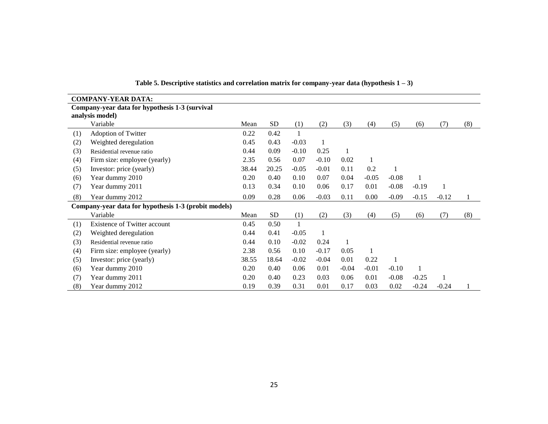|     | <b>COMPANY-YEAR DATA:</b>                            |       |           |         |              |         |         |         |              |         |     |
|-----|------------------------------------------------------|-------|-----------|---------|--------------|---------|---------|---------|--------------|---------|-----|
|     | Company-year data for hypothesis 1-3 (survival       |       |           |         |              |         |         |         |              |         |     |
|     | analysis model)                                      |       |           |         |              |         |         |         |              |         |     |
|     | Variable                                             | Mean  | <b>SD</b> | (1)     | (2)          | (3)     | (4)     | (5)     | (6)          | (7)     | (8) |
| (1) | Adoption of Twitter                                  | 0.22  | 0.42      |         |              |         |         |         |              |         |     |
| (2) | Weighted deregulation                                | 0.45  | 0.43      | $-0.03$ | 1            |         |         |         |              |         |     |
| (3) | Residential revenue ratio                            | 0.44  | 0.09      | $-0.10$ | 0.25         |         |         |         |              |         |     |
| (4) | Firm size: employee (yearly)                         | 2.35  | 0.56      | 0.07    | $-0.10$      | 0.02    |         |         |              |         |     |
| (5) | Investor: price (yearly)                             | 38.44 | 20.25     | $-0.05$ | $-0.01$      | 0.11    | 0.2     |         |              |         |     |
| (6) | Year dummy 2010                                      | 0.20  | 0.40      | 0.10    | 0.07         | 0.04    | $-0.05$ | $-0.08$ | $\mathbf{1}$ |         |     |
| (7) | Year dummy 2011                                      | 0.13  | 0.34      | 0.10    | 0.06         | 0.17    | 0.01    | $-0.08$ | $-0.19$      |         |     |
| (8) | Year dummy 2012                                      | 0.09  | 0.28      | 0.06    | $-0.03$      | 0.11    | 0.00    | $-0.09$ | $-0.15$      | $-0.12$ |     |
|     | Company-year data for hypothesis 1-3 (probit models) |       |           |         |              |         |         |         |              |         |     |
|     | Variable                                             | Mean  | <b>SD</b> | (1)     | (2)          | (3)     | (4)     | (5)     | (6)          | (7)     | (8) |
| (1) | Existence of Twitter account                         | 0.45  | 0.50      |         |              |         |         |         |              |         |     |
| (2) | Weighted deregulation                                | 0.44  | 0.41      | $-0.05$ | $\mathbf{1}$ |         |         |         |              |         |     |
| (3) | Residential revenue ratio                            | 0.44  | 0.10      | $-0.02$ | 0.24         | 1       |         |         |              |         |     |
| (4) | Firm size: employee (yearly)                         | 2.38  | 0.56      | 0.10    | $-0.17$      | 0.05    |         |         |              |         |     |
| (5) | Investor: price (yearly)                             | 38.55 | 18.64     | $-0.02$ | $-0.04$      | 0.01    | 0.22    |         |              |         |     |
| (6) | Year dummy 2010                                      | 0.20  | 0.40      | 0.06    | 0.01         | $-0.04$ | $-0.01$ | $-0.10$ | 1            |         |     |
| (7) | Year dummy 2011                                      | 0.20  | 0.40      | 0.23    | 0.03         | 0.06    | 0.01    | $-0.08$ | $-0.25$      |         |     |
| (8) | Year dummy 2012                                      | 0.19  | 0.39      | 0.31    | 0.01         | 0.17    | 0.03    | 0.02    | $-0.24$      | $-0.24$ |     |

**Table 5. Descriptive statistics and correlation matrix for company-year data (hypothesis 1 – 3)**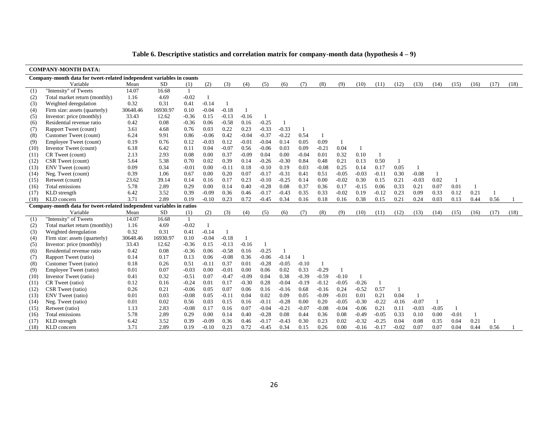|      | <b>COMPANY-MONTH DATA:</b>                                           |          |           |                |              |         |              |              |         |         |                |         |         |         |              |         |         |         |                |      |      |
|------|----------------------------------------------------------------------|----------|-----------|----------------|--------------|---------|--------------|--------------|---------|---------|----------------|---------|---------|---------|--------------|---------|---------|---------|----------------|------|------|
|      | Company-month data for tweet-related independent variables in counts |          |           |                |              |         |              |              |         |         |                |         |         |         |              |         |         |         |                |      |      |
|      | Variable                                                             | Mean     | SD        | (1)            | (2)          | (3)     | (4)          | (5)          | (6)     | (7)     | (8)            | (9)     | (10)    | (11)    | (12)         | (13)    | (14)    | (15)    | (16)           | (17) | (18) |
| (1)  | "Intensity" of Tweets                                                | 14.07    | 16.68     | $\overline{1}$ |              |         |              |              |         |         |                |         |         |         |              |         |         |         |                |      |      |
| (2)  | Total market return (monthly)                                        | 1.16     | 4.69      | $-0.02$        | $\mathbf{1}$ |         |              |              |         |         |                |         |         |         |              |         |         |         |                |      |      |
| (3)  | Weighted deregulation                                                | 0.32     | 0.31      | 0.41           | $-0.14$      | -1      |              |              |         |         |                |         |         |         |              |         |         |         |                |      |      |
| (4)  | Firm size: assets (quarterly)                                        | 30648.46 | 16930.97  | 0.10           | $-0.04$      | $-0.18$ |              |              |         |         |                |         |         |         |              |         |         |         |                |      |      |
| (5)  | Investor: price (monthly)                                            | 33.43    | 12.62     | $-0.36$        | 0.15         | $-0.13$ | $-0.16$      | $\mathbf{1}$ |         |         |                |         |         |         |              |         |         |         |                |      |      |
| (6)  | Residential revenue ratio                                            | 0.42     | 0.08      | $-0.36$        | 0.06         | $-0.58$ | 0.16         | $-0.25$      |         |         |                |         |         |         |              |         |         |         |                |      |      |
| (7)  | Rapport Tweet (count)                                                | 3.61     | 4.68      | 0.76           | 0.03         | 0.22    | 0.23         | $-0.33$      | $-0.33$ | -1      |                |         |         |         |              |         |         |         |                |      |      |
| (8)  | Customer Tweet (count)                                               | 6.24     | 9.91      | 0.86           | $-0.06$      | 0.42    | $-0.04$      | $-0.37$      | $-0.22$ | 0.54    | - 1            |         |         |         |              |         |         |         |                |      |      |
| (9)  | Employee Tweet (count)                                               | 0.19     | 0.76      | 0.12           | $-0.03$      | 0.12    | $-0.01$      | $-0.04$      | 0.14    | 0.05    | 0.09           | -1      |         |         |              |         |         |         |                |      |      |
| (10) | Investor Tweet (count)                                               | 6.18     | 6.42      | 0.11           | 0.04         | $-0.07$ | 0.56         | $-0.06$      | 0.03    | 0.09    | $-0.21$        | 0.04    | 1       |         |              |         |         |         |                |      |      |
| (11) | CR Tweet (count)                                                     | 2.13     | 2.93      | 0.08           | 0.00         | 0.37    | $-0.09$      | 0.04         | 0.00    | $-0.04$ | 0.01           | 0.32    | 0.10    |         |              |         |         |         |                |      |      |
| (12) | CSR Tweet (count)                                                    | 5.64     | 5.38      | 0.70           | 0.02         | 0.39    | 0.14         | $-0.26$      | $-0.30$ | 0.84    | 0.48           | 0.21    | 0.13    | 0.50    | $\mathbf{1}$ |         |         |         |                |      |      |
| (13) | <b>ENV</b> Tweet (count)                                             | 0.09     | 0.34      | $-0.01$        | 0.00         | $-0.11$ | 0.18         | $-0.10$      | 0.19    | 0.03    | $-0.08$        | 0.25    | 0.14    | 0.17    | 0.05         |         |         |         |                |      |      |
| (14) | Neg. Tweet (count)                                                   | 0.39     | 1.06      | 0.67           | 0.00         | 0.20    | 0.07         | $-0.17$      | $-0.31$ | 0.41    | 0.51           | $-0.05$ | $-0.03$ | $-0.11$ | 0.30         | $-0.08$ | 1       |         |                |      |      |
| (15) | Retweet (count)                                                      | 23.62    | 39.14     | 0.14           | 0.16         | 0.17    | 0.23         | $-0.10$      | $-0.25$ | 0.14    | 0.00           | $-0.02$ | 0.30    | 0.15    | 0.21         | $-0.03$ | 0.02    | - 1     |                |      |      |
| (16) | Total emissions                                                      | 5.78     | 2.89      | 0.29           | 0.00         | 0.14    | 0.40         | $-0.28$      | 0.08    | 0.37    | 0.36           | 0.17    | $-0.15$ | 0.06    | 0.33         | 0.21    | 0.07    | 0.01    |                |      |      |
| (17) | KLD strength                                                         | 6.42     | 3.52      | 0.39           | $-0.09$      | 0.36    | 0.46         | $-0.17$      | $-0.43$ | 0.35    | 0.33           | $-0.02$ | 0.19    | $-0.12$ | 0.23         | 0.09    | 0.33    | 0.12    | 0.21           | 1    |      |
| (18) | KLD concern                                                          | 3.71     | 2.89      | 0.19           | $-0.10$      | 0.23    | 0.72         | $-0.45$      | 0.34    | 0.16    | 0.18           | 0.16    | 0.38    | 0.15    | 0.21         | 0.24    | 0.03    | 0.13    | 0.44           | 0.56 |      |
|      | Company-month data for tweet-related independent variables in ratios |          |           |                |              |         |              |              |         |         |                |         |         |         |              |         |         |         |                |      |      |
|      | Variable                                                             | Mean     | <b>SD</b> | (1)            | (2)          | (3)     | (4)          | (5)          | (6)     | (7)     | (8)            | (9)     | (10)    | (11)    | (12)         | (13)    | (14)    | (15)    | (16)           | (17) | (18) |
| (1)  | "Intensity" of Tweets                                                | 14.07    | 16.68     | $\overline{1}$ |              |         |              |              |         |         |                |         |         |         |              |         |         |         |                |      |      |
| (2)  | Total market return (monthly)                                        | 1.16     | 4.69      | $-0.02$        | -1           |         |              |              |         |         |                |         |         |         |              |         |         |         |                |      |      |
| (3)  | Weighted deregulation                                                | 0.32     | 0.31      | 0.41           | $-0.14$      | -1      |              |              |         |         |                |         |         |         |              |         |         |         |                |      |      |
| (4)  | Firm size: assets (quarterly)                                        | 30648.46 | 16930.97  | 0.10           | $-0.04$      | $-0.18$ | $\mathbf{1}$ |              |         |         |                |         |         |         |              |         |         |         |                |      |      |
| (5)  | Investor: price (monthly)                                            | 33.43    | 12.62     | $-0.36$        | 0.15         | $-0.13$ | $-0.16$      | 1            |         |         |                |         |         |         |              |         |         |         |                |      |      |
| (6)  | Residential revenue ratio                                            | 0.42     | 0.08      | $-0.36$        | 0.06         | $-0.58$ | 0.16         | $-0.25$      | 1       |         |                |         |         |         |              |         |         |         |                |      |      |
| (7)  | Rapport Tweet (ratio)                                                | 0.14     | 0.17      | 0.13           | 0.06         | $-0.08$ | 0.36         | $-0.06$      | $-0.14$ | 1       |                |         |         |         |              |         |         |         |                |      |      |
| (8)  | Customer Tweet (ratio)                                               | 0.18     | 0.26      | 0.51           | $-0.11$      | 0.37    | 0.01         | $-0.28$      | $-0.05$ | $-0.10$ | $\overline{1}$ |         |         |         |              |         |         |         |                |      |      |
| (9)  | Employee Tweet (ratio)                                               | 0.01     | 0.07      | $-0.03$        | 0.00         | $-0.01$ | 0.00         | 0.06         | 0.02    | 0.33    | $-0.29$        |         |         |         |              |         |         |         |                |      |      |
| (10) | Investor Tweet (ratio)                                               | 0.41     | 0.32      | $-0.51$        | 0.07         | $-0.47$ | $-0.09$      | 0.04         | 0.38    | $-0.39$ | $-0.59$        | $-0.10$ | 1       |         |              |         |         |         |                |      |      |
| (11) | CR Tweet (ratio)                                                     | 0.12     | 0.16      | $-0.24$        | 0.01         | 0.17    | $-0.30$      | 0.28         | $-0.04$ | $-0.19$ | $-0.12$        | $-0.05$ | $-0.26$ |         |              |         |         |         |                |      |      |
| (12) | CSR Tweet (ratio)                                                    | 0.26     | 0.21      | $-0.06$        | 0.05         | 0.07    | 0.06         | 0.16         | $-0.16$ | 0.68    | $-0.16$        | 0.24    | $-0.52$ | 0.57    | $\mathbf{1}$ |         |         |         |                |      |      |
| (13) | ENV Tweet (ratio)                                                    | 0.01     | 0.03      | $-0.08$        | 0.05         | $-0.11$ | 0.04         | 0.02         | 0.09    | 0.05    | $-0.09$        | $-0.01$ | 0.01    | 0.21    | 0.04         | -1      |         |         |                |      |      |
| (14) | Neg. Tweet (ratio)                                                   | 0.01     | 0.02      | 0.56           | 0.03         | 0.15    | 0.16         | $-0.11$      | $-0.28$ | 0.00    | 0.20           | $-0.05$ | $-0.30$ | $-0.22$ | $-0.16$      | $-0.07$ |         |         |                |      |      |
| (15) | Retweet (ratio)                                                      | 1.13     | 2.83      | $-0.08$        | 0.17         | 0.16    | 0.07         | $-0.04$      | $-0.21$ | $-0.07$ | $-0.08$        | $-0.04$ | $-0.06$ | 0.21    | 0.11         | $-0.03$ | $-0.05$ | -1      |                |      |      |
| (16) | Total emissions                                                      | 5.78     | 2.89      | 0.29           | 0.00         | 0.14    | 0.40         | $-0.28$      | 0.08    | 0.44    | 0.36           | 0.08    | $-0.49$ | $-0.05$ | 0.33         | 0.10    | 0.00    | $-0.01$ | $\overline{1}$ |      |      |
| (17) | KLD strength                                                         | 6.42     | 3.52      | 0.39           | $-0.09$      | 0.36    | 0.46         | $-0.17$      | $-0.43$ | 0.30    | 0.23           | 0.02    | $-0.32$ | $-0.25$ | 0.04         | 0.08    | 0.35    | 0.04    | 0.21           |      |      |
| (18) | KLD concern                                                          | 3.71     | 2.89      | 0.19           | $-0.10$      | 0.23    | 0.72         | $-0.45$      | 0.34    | 0.15    | 0.26           | 0.00    | $-0.16$ | $-0.17$ | $-0.02$      | 0.07    | 0.07    | 0.04    | 0.44           | 0.56 |      |

**Table 6. Descriptive statistics and correlation matrix for company-month data (hypothesis 4 – 9)**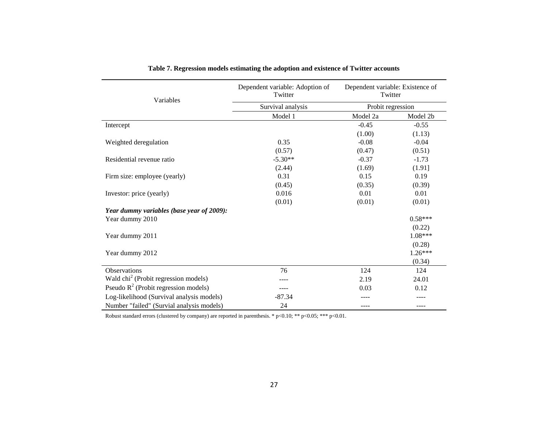| Variables                                        | Dependent variable: Adoption of<br>Twitter | Dependent variable: Existence of<br>Twitter |           |  |  |  |
|--------------------------------------------------|--------------------------------------------|---------------------------------------------|-----------|--|--|--|
|                                                  | Survival analysis                          | Probit regression                           |           |  |  |  |
|                                                  | Model 1                                    | Model 2a                                    | Model 2b  |  |  |  |
| Intercept                                        |                                            | $-0.45$                                     | $-0.55$   |  |  |  |
|                                                  |                                            | (1.00)                                      | (1.13)    |  |  |  |
| Weighted deregulation                            | 0.35                                       | $-0.08$                                     | $-0.04$   |  |  |  |
|                                                  | (0.57)                                     | (0.47)                                      | (0.51)    |  |  |  |
| Residential revenue ratio                        | $-5.30**$                                  | $-0.37$                                     | $-1.73$   |  |  |  |
|                                                  | (2.44)                                     | (1.69)                                      | (1.91]    |  |  |  |
| Firm size: employee (yearly)                     | 0.31                                       | 0.15                                        | 0.19      |  |  |  |
|                                                  | (0.45)                                     | (0.35)                                      | (0.39)    |  |  |  |
| Investor: price (yearly)                         | 0.016                                      | 0.01                                        | 0.01      |  |  |  |
|                                                  | (0.01)                                     | (0.01)                                      | (0.01)    |  |  |  |
| Year dummy variables (base year of 2009):        |                                            |                                             |           |  |  |  |
| Year dummy 2010                                  |                                            |                                             | $0.58***$ |  |  |  |
|                                                  |                                            |                                             | (0.22)    |  |  |  |
| Year dummy 2011                                  |                                            |                                             | 1.08***   |  |  |  |
|                                                  |                                            |                                             | (0.28)    |  |  |  |
| Year dummy 2012                                  |                                            |                                             | $1.26***$ |  |  |  |
|                                                  |                                            |                                             | (0.34)    |  |  |  |
| Observations                                     | 76                                         | 124                                         | 124       |  |  |  |
| Wald chi <sup>2</sup> (Probit regression models) |                                            | 2.19                                        | 24.01     |  |  |  |
| Pseudo $R^2$ (Probit regression models)          |                                            | 0.03                                        | 0.12      |  |  |  |
| Log-likelihood (Survival analysis models)        | $-87.34$                                   |                                             |           |  |  |  |
| Number "failed" (Survial analysis models)        | 24                                         | ----                                        | ----      |  |  |  |

|  |  | Table 7. Regression models estimating the adoption and existence of Twitter accounts |  |
|--|--|--------------------------------------------------------------------------------------|--|
|  |  |                                                                                      |  |

Robust standard errors (clustered by company) are reported in parenthesis. \* p<0.10; \*\*\* p<0.05; \*\*\* p<0.01.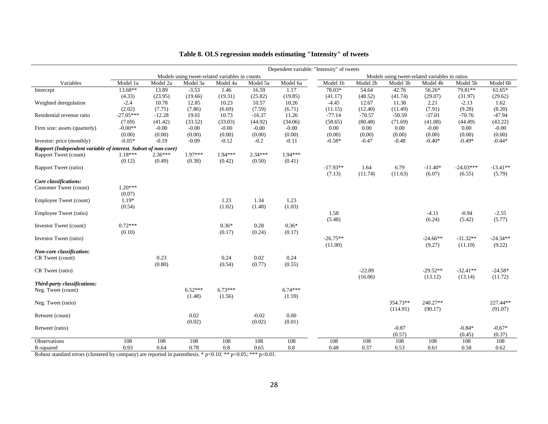|                                                                |             |           |           |                                                |           |           | Dependent variable: "Intensity" of tweets |          |                                                |            |             |            |
|----------------------------------------------------------------|-------------|-----------|-----------|------------------------------------------------|-----------|-----------|-------------------------------------------|----------|------------------------------------------------|------------|-------------|------------|
|                                                                |             |           |           | Models using tweet-related variables in counts |           |           |                                           |          | Models using tweet-related variables in ratios |            |             |            |
| Variables                                                      | Model 1a    | Model 2a  | Model 3a  | Model 4a                                       | Model 5a  | Model 6a  | Model 1b                                  | Model 2b | Model 3b                                       | Model 4b   | Model 5b    | Model 6b   |
| Intercept                                                      | 13.68**     | 13.89     | $-3.53$   | 1.46                                           | 16.59     | 1.17      | 78.03*                                    | 54.64    | 42.76                                          | 56.26*     | 79.81**     | $61.65*$   |
|                                                                | (4.33)      | (23.95)   | (19.66)   | (19.31)                                        | (25.82)   | (19.85)   | (41.17)                                   | (48.52)  | (41.74)                                        | (29.07)    | (31.97)     | (29.62)    |
| Weighted deregulation                                          | $-2.4$      | 10.78     | 12.85     | 10.23                                          | 10.57     | 10.26     | $-4.45$                                   | 12.67    | 11.38                                          | 2.21       | $-2.13$     | 1.62       |
|                                                                | (2.02)      | (7.75)    | (7.86)    | (6.69)                                         | (7.59)    | (6.71)    | (11.15)                                   | (12.40)  | (11.49)                                        | (7.91)     | (9.28)      | (8.20)     |
| Residential revenue ratio                                      | $-27.05***$ | $-12.28$  | 19.01     | 10.73                                          | $-16.37$  | 11.26     | $-77.14$                                  | $-70.57$ | $-50.59$                                       | $-37.01$   | $-70.76$    | $-47.94$   |
|                                                                | (7.69)      | (41.42)   | (33.52)   | (33.03)                                        | (44.92)   | (34.06)   | (58.65)                                   | (80.48)  | (71.69)                                        | (41.08)    | (44.49)     | (43.22)    |
| Firm size: assets (quarterly)                                  | $-0.00**$   | $-0.00$   | $-0.00$   | $-0.00$                                        | $-0.00$   | $-0.00$   | 0.00                                      | $0.00\,$ | 0.00                                           | $-0.00$    | 0.00        | $-0.00$    |
|                                                                | (0.00)      | (0.00)    | (0.00)    | (0.00)                                         | (0.00)    | (0.00)    | (0.00)                                    | (0.00)   | (0.00)                                         | (0.00)     | (0.00)      | (0.00)     |
| Investor: price (monthly)                                      | $-0.05*$    | $-0.19$   | $-0.09$   | $-0.12$                                        | $-0.2$    | $-0.11$   | $-0.58*$                                  | $-0.47$  | $-0.48$                                        | $-0.40*$   | $-0.49*$    | $-0.44*$   |
| Rapport (Independent variable of interest. Subset of non-core) |             |           |           |                                                |           |           |                                           |          |                                                |            |             |            |
| Rapport Tweet (count)                                          | $1.18***$   | $2.36***$ | $1.97***$ | $1.94***$                                      | $2.34***$ | $1.94***$ |                                           |          |                                                |            |             |            |
|                                                                | (0.12)      | (0.49)    | (0.38)    | (0.42)                                         | (0.50)    | (0.41)    |                                           |          |                                                |            |             |            |
| Rapport Tweet (ratio)                                          |             |           |           |                                                |           |           | $-17.93**$                                | 1.64     | 6.79                                           | $-11.40*$  | $-24.03***$ | $-13.41**$ |
|                                                                |             |           |           |                                                |           |           | (7.13)                                    | (11.74)  | (11.63)                                        | (6.07)     | (6.55)      | (5.79)     |
| Core classifications:                                          |             |           |           |                                                |           |           |                                           |          |                                                |            |             |            |
| Customer Tweet (count)                                         | $1.20***$   |           |           |                                                |           |           |                                           |          |                                                |            |             |            |
|                                                                | (0.07)      |           |           |                                                |           |           |                                           |          |                                                |            |             |            |
| Employee Tweet (count)                                         | $1.19*$     |           |           | 1.23                                           | 1.34      | 1.23      |                                           |          |                                                |            |             |            |
|                                                                | (0.54)      |           |           | (1.02)                                         | (1.48)    | (1.03)    |                                           |          |                                                |            |             |            |
| Employee Tweet (ratio)                                         |             |           |           |                                                |           |           | 1.58                                      |          |                                                | $-4.11$    | $-0.94$     | $-2.55$    |
|                                                                |             |           |           |                                                |           |           | (5.48)                                    |          |                                                | (6.24)     | (5.42)      | (5.77)     |
| Investor Tweet (count)                                         | $0.72***$   |           |           | $0.36*$                                        | 0.28      | $0.36*$   |                                           |          |                                                |            |             |            |
|                                                                | (0.10)      |           |           | (0.17)                                         | (0.24)    | (0.17)    |                                           |          |                                                |            |             |            |
| Investor Tweet (ratio)                                         |             |           |           |                                                |           |           | $-26.75**$                                |          |                                                | $-24.66**$ | $-31.32**$  | $-24.34**$ |
|                                                                |             |           |           |                                                |           |           | (11.00)                                   |          |                                                | (9.27)     | (11.19)     | (9.22)     |
| Non-core classification:                                       |             |           |           |                                                |           |           |                                           |          |                                                |            |             |            |
| CR Tweet (count)                                               |             | 0.23      |           | 0.24                                           | 0.02      | 0.24      |                                           |          |                                                |            |             |            |
|                                                                |             | (0.80)    |           | (0.54)                                         | (0.77)    | (0.55)    |                                           |          |                                                |            |             |            |
| CR Tweet (ratio)                                               |             |           |           |                                                |           |           |                                           | $-22.89$ |                                                | $-29.52**$ | $-32.41**$  | $-24.58*$  |
|                                                                |             |           |           |                                                |           |           |                                           | (16.06)  |                                                | (13.12)    | (13.14)     | (11.72)    |
| Third-party classifications:                                   |             |           |           |                                                |           |           |                                           |          |                                                |            |             |            |
| Neg. Tweet (count)                                             |             |           | $6.52***$ | $6.73***$                                      |           | $6.74***$ |                                           |          |                                                |            |             |            |
|                                                                |             |           | (1.48)    | (1.56)                                         |           | (1.59)    |                                           |          |                                                |            |             |            |
| Neg. Tweet (ratio)                                             |             |           |           |                                                |           |           |                                           |          | 354.73**                                       | 240.27**   |             | 227.44**   |
|                                                                |             |           |           |                                                |           |           |                                           |          | (114.91)                                       | (90.17)    |             | (91.07)    |
| Retweet (count)                                                |             |           | 0.02      |                                                | $-0.02$   | 0.00      |                                           |          |                                                |            |             |            |
|                                                                |             |           | (0.02)    |                                                | (0.02)    | (0.01)    |                                           |          |                                                |            |             |            |
| Retweet (ratio)                                                |             |           |           |                                                |           |           |                                           |          | $-0.87$                                        |            | $-0.84*$    | $-0.67*$   |
|                                                                |             |           |           |                                                |           |           |                                           |          | (0.57)                                         |            | (0.45)      | (0.37)     |
| Observations                                                   | 108         | 108       | 108       | 108                                            | 108       | 108       | 108                                       | 108      | 108                                            | 108        | 108         | 108        |
| R-squared                                                      | 0.93        | 0.64      | 0.78      | 0.8                                            | 0.65      | 0.8       | 0.48                                      | 0.37     | 0.53                                           | 0.61       | 0.58        | 0.62       |

# **Table 8. OLS regression models estimating "Intensity" of tweets**

Robust standard errors (clustered by company) are reported in parenthesis. \* p<0.10; \*\* p<0.05; \*\*\* p<0.01.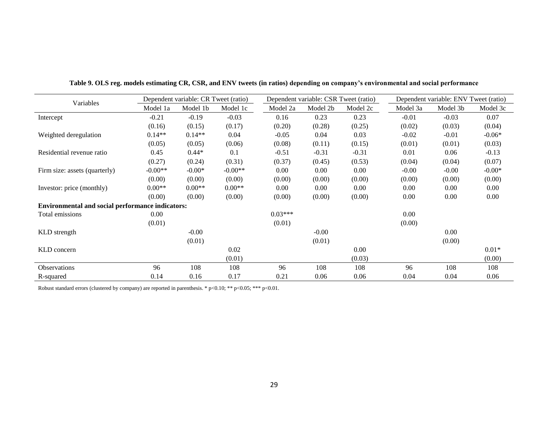|                                                         |           | Dependent variable: CR Tweet (ratio) |           |           | Dependent variable: CSR Tweet (ratio) |          |          | Dependent variable: ENV Tweet (ratio) |          |
|---------------------------------------------------------|-----------|--------------------------------------|-----------|-----------|---------------------------------------|----------|----------|---------------------------------------|----------|
| Variables                                               | Model 1a  | Model 1b                             | Model 1c  | Model 2a  | Model 2b                              | Model 2c | Model 3a | Model 3b                              | Model 3c |
| Intercept                                               | $-0.21$   | $-0.19$                              | $-0.03$   | 0.16      | 0.23                                  | 0.23     | $-0.01$  | $-0.03$                               | 0.07     |
|                                                         | (0.16)    | (0.15)                               | (0.17)    | (0.20)    | (0.28)                                | (0.25)   | (0.02)   | (0.03)                                | (0.04)   |
| Weighted deregulation                                   | $0.14**$  | $0.14**$                             | 0.04      | $-0.05$   | 0.04                                  | 0.03     | $-0.02$  | $-0.01$                               | $-0.06*$ |
|                                                         | (0.05)    | (0.05)                               | (0.06)    | (0.08)    | (0.11)                                | (0.15)   | (0.01)   | (0.01)                                | (0.03)   |
| Residential revenue ratio                               | 0.45      | $0.44*$                              | 0.1       | $-0.51$   | $-0.31$                               | $-0.31$  | 0.01     | 0.06                                  | $-0.13$  |
|                                                         | (0.27)    | (0.24)                               | (0.31)    | (0.37)    | (0.45)                                | (0.53)   | (0.04)   | (0.04)                                | (0.07)   |
| Firm size: assets (quarterly)                           | $-0.00**$ | $-0.00*$                             | $-0.00**$ | 0.00      | 0.00                                  | 0.00     | $-0.00$  | $-0.00$                               | $-0.00*$ |
|                                                         | (0.00)    | (0.00)                               | (0.00)    | (0.00)    | (0.00)                                | (0.00)   | (0.00)   | (0.00)                                | (0.00)   |
| Investor: price (monthly)                               | $0.00**$  | $0.00**$                             | $0.00**$  | 0.00      | 0.00                                  | 0.00     | 0.00     | 0.00                                  | 0.00     |
|                                                         | (0.00)    | (0.00)                               | (0.00)    | (0.00)    | (0.00)                                | (0.00)   | 0.00     | 0.00                                  | 0.00     |
| <b>Environmental and social performance indicators:</b> |           |                                      |           |           |                                       |          |          |                                       |          |
| Total emissions                                         | $0.00\,$  |                                      |           | $0.03***$ |                                       |          | 0.00     |                                       |          |
|                                                         | (0.01)    |                                      |           | (0.01)    |                                       |          | (0.00)   |                                       |          |
| KLD strength                                            |           | $-0.00$                              |           |           | $-0.00$                               |          |          | 0.00                                  |          |
|                                                         |           | (0.01)                               |           |           | (0.01)                                |          |          | (0.00)                                |          |
| KLD concern                                             |           |                                      | 0.02      |           |                                       | 0.00     |          |                                       | $0.01*$  |
|                                                         |           |                                      | (0.01)    |           |                                       | (0.03)   |          |                                       | (0.00)   |
| <b>Observations</b>                                     | 96        | 108                                  | 108       | 96        | 108                                   | 108      | 96       | 108                                   | 108      |
| R-squared                                               | 0.14      | 0.16                                 | 0.17      | 0.21      | 0.06                                  | 0.06     | 0.04     | 0.04                                  | 0.06     |

**Table 9. OLS reg. models estimating CR, CSR, and ENV tweets (in ratios) depending on company's environmental and social performance**

Robust standard errors (clustered by company) are reported in parenthesis. \* p<0.10; \*\*\* p<0.05; \*\*\* p<0.01.